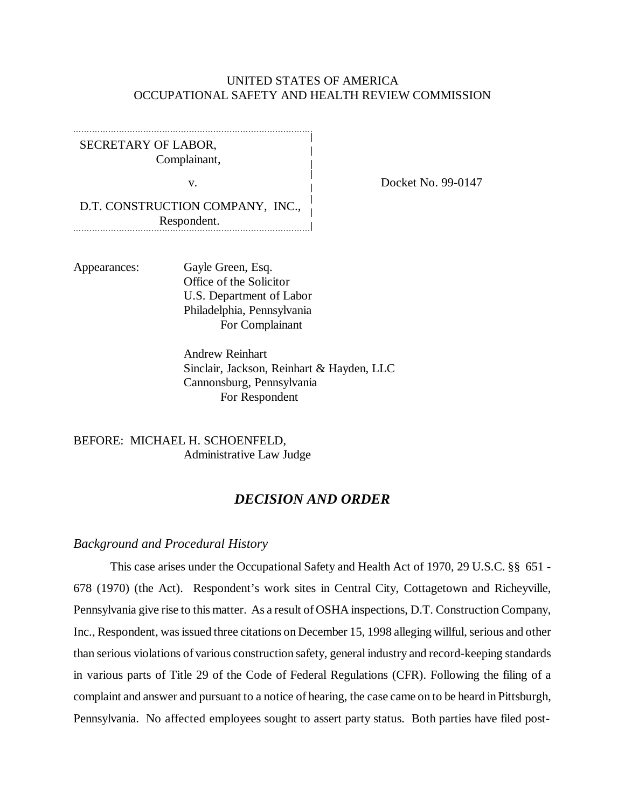### UNITED STATES OF AMERICA OCCUPATIONAL SAFETY AND HEALTH REVIEW COMMISSION

SECRETARY OF LABOR, Complainant,

v. Docket No. 99-0147

D.T. CONSTRUCTION COMPANY, INC., Respondent.

Appearances: Gayle Green, Esq. Office of the Solicitor U.S. Department of Labor Philadelphia, Pennsylvania For Complainant

> Andrew Reinhart Sinclair, Jackson, Reinhart & Hayden, LLC Cannonsburg, Pennsylvania For Respondent

BEFORE: MICHAEL H. SCHOENFELD, Administrative Law Judge

### *DECISION AND ORDER*

#### *Background and Procedural History*

This case arises under the Occupational Safety and Health Act of 1970, 29 U.S.C. §§ 651 - 678 (1970) (the Act). Respondent's work sites in Central City, Cottagetown and Richeyville, Pennsylvania give rise to this matter. As a result of OSHA inspections, D.T. Construction Company, Inc., Respondent, was issued three citations on December 15, 1998 alleging willful, serious and other than serious violations of various construction safety, general industry and record-keeping standards in various parts of Title 29 of the Code of Federal Regulations (CFR). Following the filing of a complaint and answer and pursuant to a notice of hearing, the case came on to be heard in Pittsburgh, Pennsylvania. No affected employees sought to assert party status. Both parties have filed post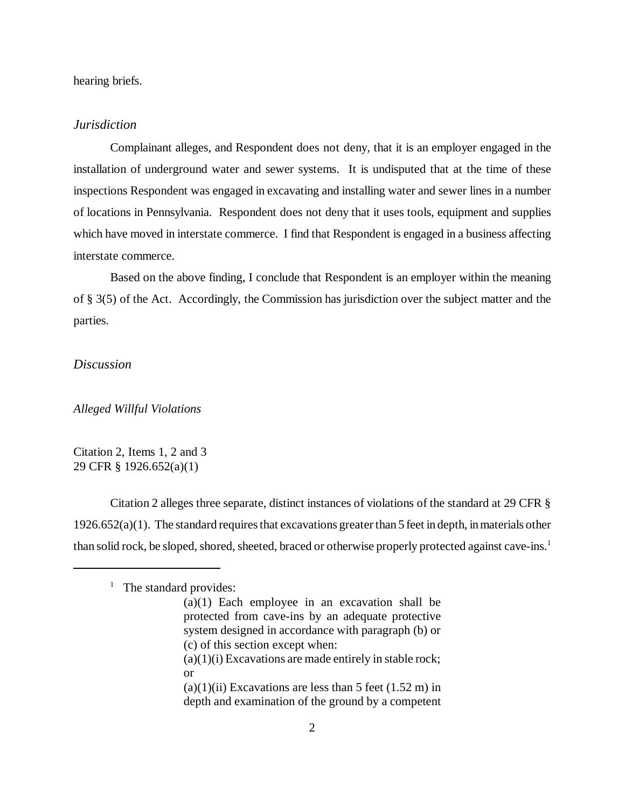hearing briefs.

### *Jurisdiction*

Complainant alleges, and Respondent does not deny, that it is an employer engaged in the installation of underground water and sewer systems. It is undisputed that at the time of these inspections Respondent was engaged in excavating and installing water and sewer lines in a number of locations in Pennsylvania. Respondent does not deny that it uses tools, equipment and supplies which have moved in interstate commerce. I find that Respondent is engaged in a business affecting interstate commerce.

Based on the above finding, I conclude that Respondent is an employer within the meaning of § 3(5) of the Act. Accordingly, the Commission has jurisdiction over the subject matter and the parties.

### *Discussion*

*Alleged Willful Violations*

Citation 2, Items 1, 2 and 3 29 CFR § 1926.652(a)(1)

Citation 2 alleges three separate, distinct instances of violations of the standard at 29 CFR §  $1926.652(a)(1)$ . The standard requires that excavations greater than 5 feet in depth, in materials other than solid rock, be sloped, shored, sheeted, braced or otherwise properly protected against cave-ins.<sup>1</sup>

<sup>&</sup>lt;sup>1</sup> The standard provides:

<sup>(</sup>a)(1) Each employee in an excavation shall be protected from cave-ins by an adequate protective system designed in accordance with paragraph (b) or (c) of this section except when:  $(a)(1)(i)$  Excavations are made entirely in stable rock; or  $(a)(1)(ii)$  Excavations are less than 5 feet  $(1.52 \text{ m})$  in

depth and examination of the ground by a competent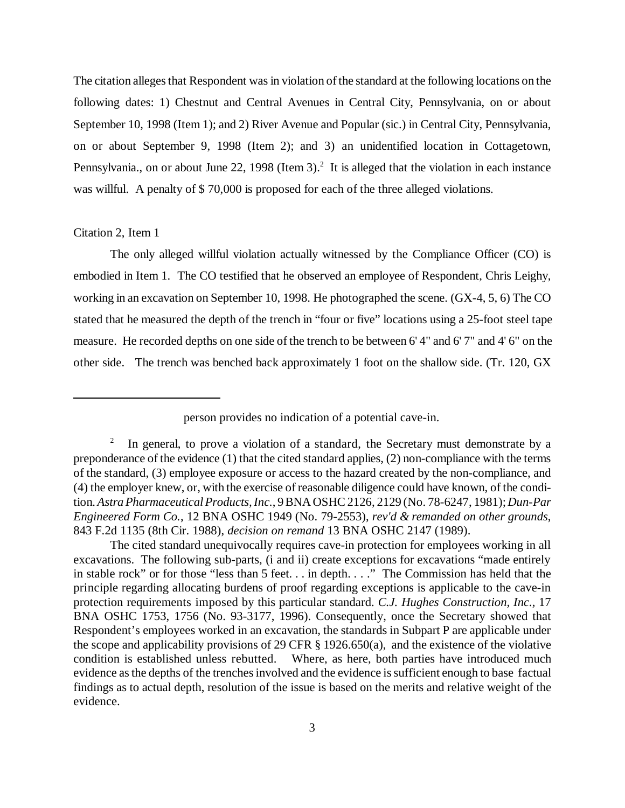The citation alleges that Respondent was in violation of the standard at the following locations on the following dates: 1) Chestnut and Central Avenues in Central City, Pennsylvania, on or about September 10, 1998 (Item 1); and 2) River Avenue and Popular (sic.) in Central City, Pennsylvania, on or about September 9, 1998 (Item 2); and 3) an unidentified location in Cottagetown, Pennsylvania., on or about June 22, 1998 (Item 3).<sup>2</sup> It is alleged that the violation in each instance was willful. A penalty of \$70,000 is proposed for each of the three alleged violations.

#### Citation 2, Item 1

The only alleged willful violation actually witnessed by the Compliance Officer (CO) is embodied in Item 1. The CO testified that he observed an employee of Respondent, Chris Leighy, working in an excavation on September 10, 1998. He photographed the scene. (GX-4, 5, 6) The CO stated that he measured the depth of the trench in "four or five" locations using a 25-foot steel tape measure. He recorded depths on one side of the trench to be between 6' 4" and 6' 7" and 4' 6" on the other side. The trench was benched back approximately 1 foot on the shallow side. (Tr. 120, GX

person provides no indication of a potential cave-in.

<sup>2</sup> In general, to prove a violation of a standard, the Secretary must demonstrate by a preponderance of the evidence (1) that the cited standard applies, (2) non-compliance with the terms of the standard, (3) employee exposure or access to the hazard created by the non-compliance, and (4) the employer knew, or, with the exercise of reasonable diligence could have known, of the condition. *Astra Pharmaceutical Products, Inc.*, 9 BNA OSHC 2126, 2129 (No. 78-6247, 1981); *Dun-Par Engineered Form Co.*, 12 BNA OSHC 1949 (No. 79-2553), *rev'd & remanded on other grounds*, 843 F.2d 1135 (8th Cir. 1988), *decision on remand* 13 BNA OSHC 2147 (1989).

The cited standard unequivocally requires cave-in protection for employees working in all excavations. The following sub-parts, (i and ii) create exceptions for excavations "made entirely in stable rock" or for those "less than 5 feet. . . in depth. . . ." The Commission has held that the principle regarding allocating burdens of proof regarding exceptions is applicable to the cave-in protection requirements imposed by this particular standard. *C.J. Hughes Construction, Inc.,* 17 BNA OSHC 1753, 1756 (No. 93-3177, 1996). Consequently, once the Secretary showed that Respondent's employees worked in an excavation, the standards in Subpart P are applicable under the scope and applicability provisions of 29 CFR § 1926.650(a), and the existence of the violative condition is established unless rebutted. Where, as here, both parties have introduced much evidence as the depths of the trenches involved and the evidence is sufficient enough to base factual findings as to actual depth, resolution of the issue is based on the merits and relative weight of the evidence.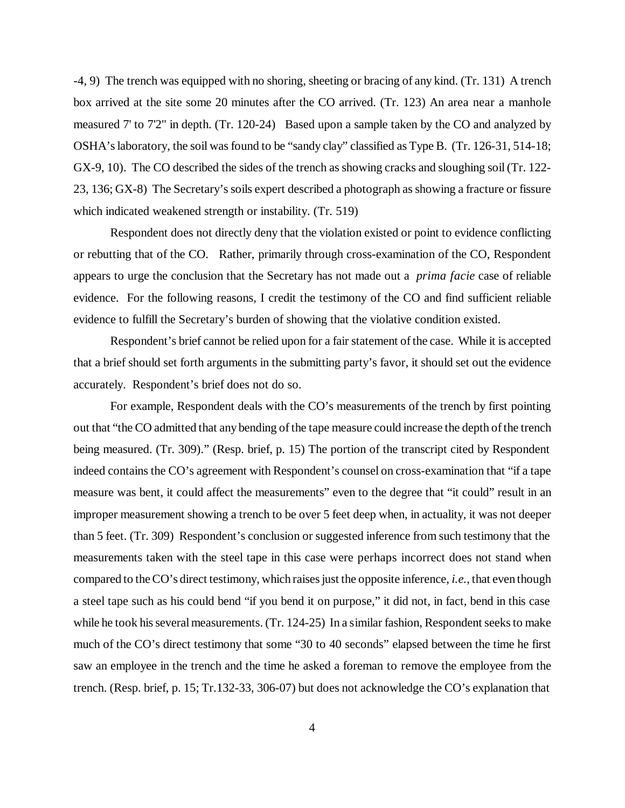-4, 9) The trench was equipped with no shoring, sheeting or bracing of any kind. (Tr. 131) A trench box arrived at the site some 20 minutes after the CO arrived. (Tr. 123) An area near a manhole measured 7' to 7'2" in depth. (Tr. 120-24) Based upon a sample taken by the CO and analyzed by OSHA's laboratory, the soil was found to be "sandy clay" classified as Type B. (Tr. 126-31, 514-18; GX-9, 10). The CO described the sides of the trench as showing cracks and sloughing soil (Tr. 122- 23, 136; GX-8) The Secretary's soils expert described a photograph as showing a fracture or fissure which indicated weakened strength or instability. (Tr. 519)

Respondent does not directly deny that the violation existed or point to evidence conflicting or rebutting that of the CO. Rather, primarily through cross-examination of the CO, Respondent appears to urge the conclusion that the Secretary has not made out a *prima facie* case of reliable evidence. For the following reasons, I credit the testimony of the CO and find sufficient reliable evidence to fulfill the Secretary's burden of showing that the violative condition existed.

Respondent's brief cannot be relied upon for a fair statement of the case. While it is accepted that a brief should set forth arguments in the submitting party's favor, it should set out the evidence accurately. Respondent's brief does not do so.

For example, Respondent deals with the CO's measurements of the trench by first pointing out that "the CO admitted that any bending of the tape measure could increase the depth of the trench being measured. (Tr. 309)." (Resp. brief, p. 15) The portion of the transcript cited by Respondent indeed contains the CO's agreement with Respondent's counsel on cross-examination that "if a tape measure was bent, it could affect the measurements" even to the degree that "it could" result in an improper measurement showing a trench to be over 5 feet deep when, in actuality, it was not deeper than 5 feet. (Tr. 309) Respondent's conclusion or suggested inference from such testimony that the measurements taken with the steel tape in this case were perhaps incorrect does not stand when compared to the CO's direct testimony, which raises just the opposite inference, *i.e.*, that even though a steel tape such as his could bend "if you bend it on purpose," it did not, in fact, bend in this case while he took his several measurements. (Tr. 124-25) In a similar fashion, Respondent seeks to make much of the CO's direct testimony that some "30 to 40 seconds" elapsed between the time he first saw an employee in the trench and the time he asked a foreman to remove the employee from the trench. (Resp. brief, p. 15; Tr.132-33, 306-07) but does not acknowledge the CO's explanation that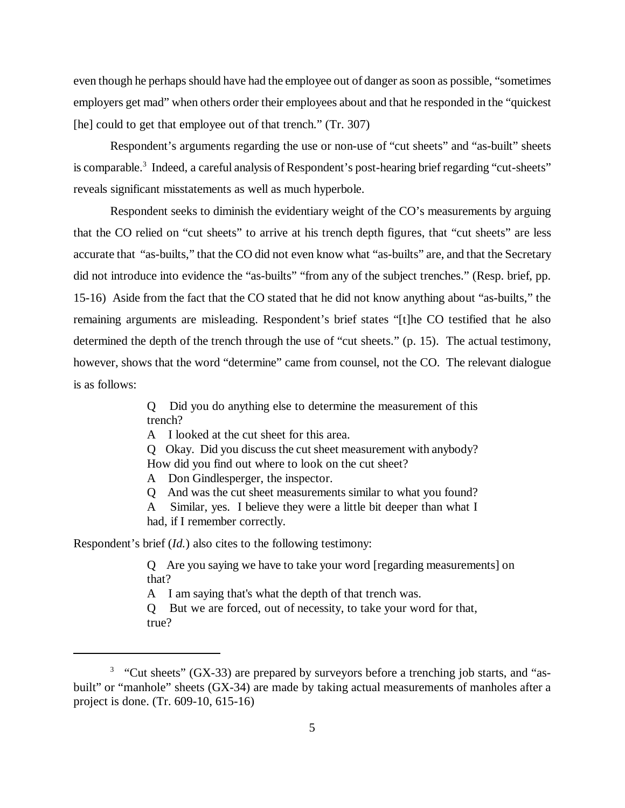even though he perhaps should have had the employee out of danger as soon as possible, "sometimes employers get mad" when others order their employees about and that he responded in the "quickest [he] could to get that employee out of that trench." (Tr. 307)

Respondent's arguments regarding the use or non-use of "cut sheets" and "as-built" sheets is comparable.<sup>3</sup> Indeed, a careful analysis of Respondent's post-hearing brief regarding "cut-sheets" reveals significant misstatements as well as much hyperbole.

Respondent seeks to diminish the evidentiary weight of the CO's measurements by arguing that the CO relied on "cut sheets" to arrive at his trench depth figures, that "cut sheets" are less accurate that "as-builts," that the CO did not even know what "as-builts" are, and that the Secretary did not introduce into evidence the "as-builts" "from any of the subject trenches." (Resp. brief, pp. 15-16) Aside from the fact that the CO stated that he did not know anything about "as-builts," the remaining arguments are misleading. Respondent's brief states "[t]he CO testified that he also determined the depth of the trench through the use of "cut sheets." (p. 15). The actual testimony, however, shows that the word "determine" came from counsel, not the CO. The relevant dialogue is as follows:

> Q Did you do anything else to determine the measurement of this trench?

A I looked at the cut sheet for this area.

Q Okay. Did you discuss the cut sheet measurement with anybody? How did you find out where to look on the cut sheet?

A Don Gindlesperger, the inspector.

Q And was the cut sheet measurements similar to what you found?

A Similar, yes. I believe they were a little bit deeper than what I had, if I remember correctly.

Respondent's brief (*Id.*) also cites to the following testimony:

Q Are you saying we have to take your word [regarding measurements] on that?

A I am saying that's what the depth of that trench was.

Q But we are forced, out of necessity, to take your word for that, true?

 $3$  "Cut sheets" (GX-33) are prepared by surveyors before a trenching job starts, and "asbuilt" or "manhole" sheets (GX-34) are made by taking actual measurements of manholes after a project is done. (Tr. 609-10, 615-16)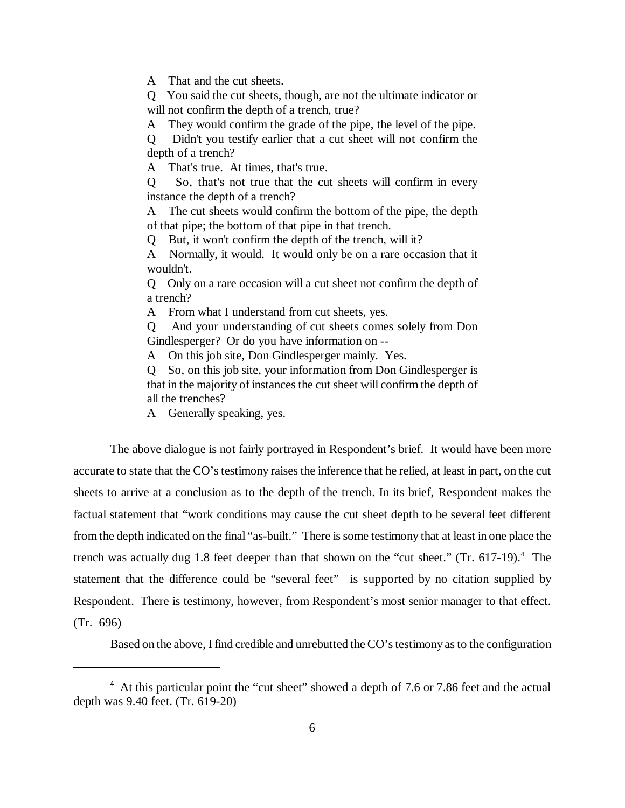A That and the cut sheets.

Q You said the cut sheets, though, are not the ultimate indicator or will not confirm the depth of a trench, true?

A They would confirm the grade of the pipe, the level of the pipe.

Q Didn't you testify earlier that a cut sheet will not confirm the depth of a trench?

A That's true. At times, that's true.

Q So, that's not true that the cut sheets will confirm in every instance the depth of a trench?

A The cut sheets would confirm the bottom of the pipe, the depth of that pipe; the bottom of that pipe in that trench.

Q But, it won't confirm the depth of the trench, will it?

A Normally, it would. It would only be on a rare occasion that it wouldn't.

Q Only on a rare occasion will a cut sheet not confirm the depth of a trench?

A From what I understand from cut sheets, yes.

Q And your understanding of cut sheets comes solely from Don Gindlesperger? Or do you have information on --

A On this job site, Don Gindlesperger mainly. Yes.

Q So, on this job site, your information from Don Gindlesperger is that in the majority of instances the cut sheet will confirm the depth of all the trenches?

A Generally speaking, yes.

The above dialogue is not fairly portrayed in Respondent's brief. It would have been more accurate to state that the CO's testimony raises the inference that he relied, at least in part, on the cut sheets to arrive at a conclusion as to the depth of the trench. In its brief, Respondent makes the factual statement that "work conditions may cause the cut sheet depth to be several feet different from the depth indicated on the final "as-built." There is some testimony that at least in one place the trench was actually dug 1.8 feet deeper than that shown on the "cut sheet." (Tr. 617-19).<sup>4</sup> The statement that the difference could be "several feet" is supported by no citation supplied by Respondent. There is testimony, however, from Respondent's most senior manager to that effect. (Tr. 696)

Based on the above, I find credible and unrebutted the CO's testimony as to the configuration

<sup>&</sup>lt;sup>4</sup> At this particular point the "cut sheet" showed a depth of 7.6 or 7.86 feet and the actual depth was 9.40 feet. (Tr. 619-20)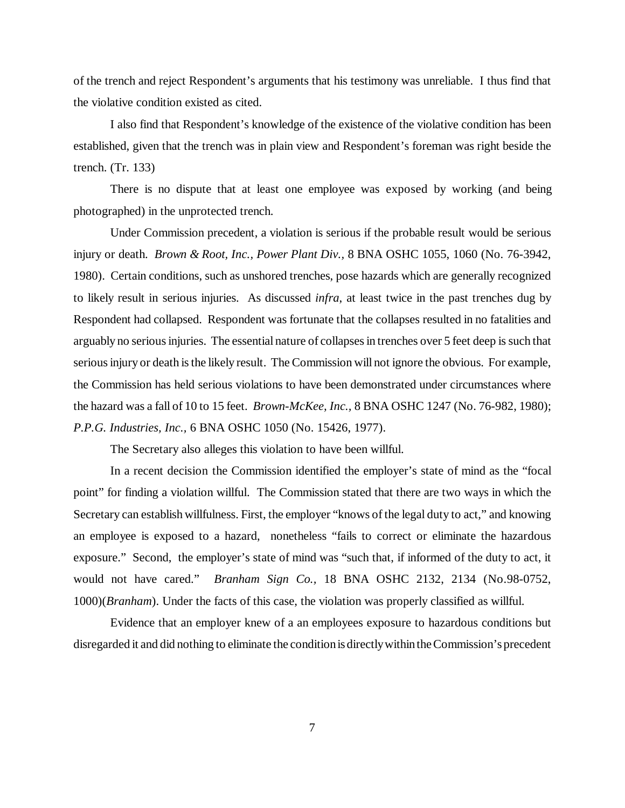of the trench and reject Respondent's arguments that his testimony was unreliable. I thus find that the violative condition existed as cited.

I also find that Respondent's knowledge of the existence of the violative condition has been established, given that the trench was in plain view and Respondent's foreman was right beside the trench. (Tr. 133)

There is no dispute that at least one employee was exposed by working (and being photographed) in the unprotected trench.

Under Commission precedent, a violation is serious if the probable result would be serious injury or death. *Brown & Root, Inc., Power Plant Div.,* 8 BNA OSHC 1055, 1060 (No. 76-3942, 1980). Certain conditions, such as unshored trenches, pose hazards which are generally recognized to likely result in serious injuries. As discussed *infra*, at least twice in the past trenches dug by Respondent had collapsed. Respondent was fortunate that the collapses resulted in no fatalities and arguably no serious injuries. The essential nature of collapses in trenches over 5 feet deep is such that serious injury or death is the likely result. The Commission will not ignore the obvious. For example, the Commission has held serious violations to have been demonstrated under circumstances where the hazard was a fall of 10 to 15 feet. *Brown-McKee, Inc.,* 8 BNA OSHC 1247 (No. 76-982, 1980); *P.P.G. Industries, Inc.,* 6 BNA OSHC 1050 (No. 15426, 1977).

The Secretary also alleges this violation to have been willful.

In a recent decision the Commission identified the employer's state of mind as the "focal point" for finding a violation willful. The Commission stated that there are two ways in which the Secretary can establish willfulness. First, the employer "knows of the legal duty to act," and knowing an employee is exposed to a hazard, nonetheless "fails to correct or eliminate the hazardous exposure." Second, the employer's state of mind was "such that, if informed of the duty to act, it would not have cared." *Branham Sign Co.,* 18 BNA OSHC 2132, 2134 (No.98-0752, 1000)(*Branham*). Under the facts of this case, the violation was properly classified as willful.

Evidence that an employer knew of a an employees exposure to hazardous conditions but disregarded it and did nothing to eliminate the condition is directly within the Commission's precedent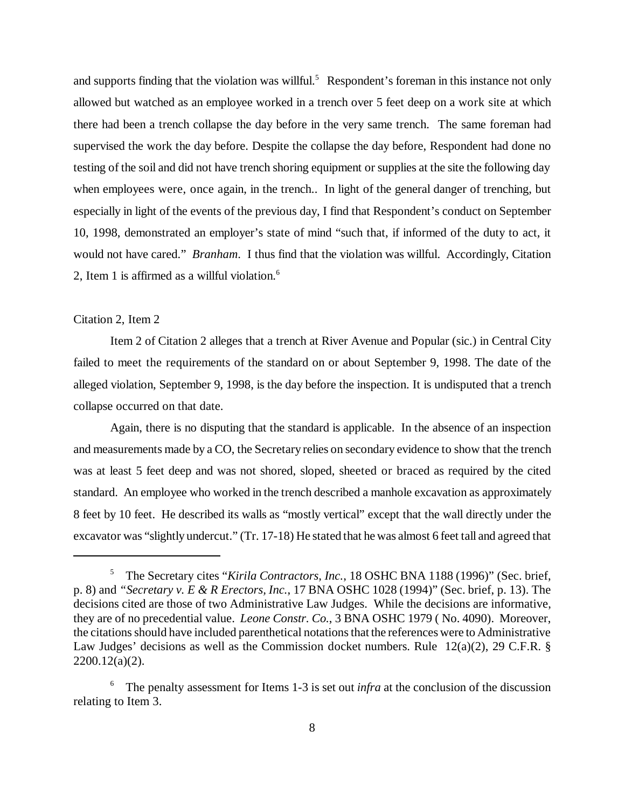and supports finding that the violation was willful.<sup>5</sup> Respondent's foreman in this instance not only allowed but watched as an employee worked in a trench over 5 feet deep on a work site at which there had been a trench collapse the day before in the very same trench. The same foreman had supervised the work the day before. Despite the collapse the day before, Respondent had done no testing of the soil and did not have trench shoring equipment or supplies at the site the following day when employees were, once again, in the trench.. In light of the general danger of trenching, but especially in light of the events of the previous day, I find that Respondent's conduct on September 10, 1998, demonstrated an employer's state of mind "such that, if informed of the duty to act, it would not have cared." *Branham*. I thus find that the violation was willful. Accordingly, Citation 2, Item 1 is affirmed as a willful violation. $6$ 

### Citation 2, Item 2

Item 2 of Citation 2 alleges that a trench at River Avenue and Popular (sic.) in Central City failed to meet the requirements of the standard on or about September 9, 1998. The date of the alleged violation, September 9, 1998, is the day before the inspection. It is undisputed that a trench collapse occurred on that date.

Again, there is no disputing that the standard is applicable. In the absence of an inspection and measurements made by a CO, the Secretary relies on secondary evidence to show that the trench was at least 5 feet deep and was not shored, sloped, sheeted or braced as required by the cited standard. An employee who worked in the trench described a manhole excavation as approximately 8 feet by 10 feet. He described its walls as "mostly vertical" except that the wall directly under the excavator was "slightly undercut." (Tr. 17-18) He stated that he was almost 6 feet tall and agreed that

<sup>&</sup>lt;sup>5</sup> The Secretary cites "Kirila Contractors, Inc., 18 OSHC BNA 1188 (1996)" (Sec. brief, p. 8) and *"Secretary v. E & R Erectors, Inc.*, 17 BNA OSHC 1028 (1994)" (Sec. brief, p. 13). The decisions cited are those of two Administrative Law Judges. While the decisions are informative, they are of no precedential value. *Leone Constr. Co.*, 3 BNA OSHC 1979 ( No. 4090). Moreover, the citations should have included parenthetical notations that the references were to Administrative Law Judges' decisions as well as the Commission docket numbers. Rule 12(a)(2), 29 C.F.R. § 2200.12(a)(2).

<sup>&</sup>lt;sup>6</sup> The penalty assessment for Items 1-3 is set out *infra* at the conclusion of the discussion relating to Item 3.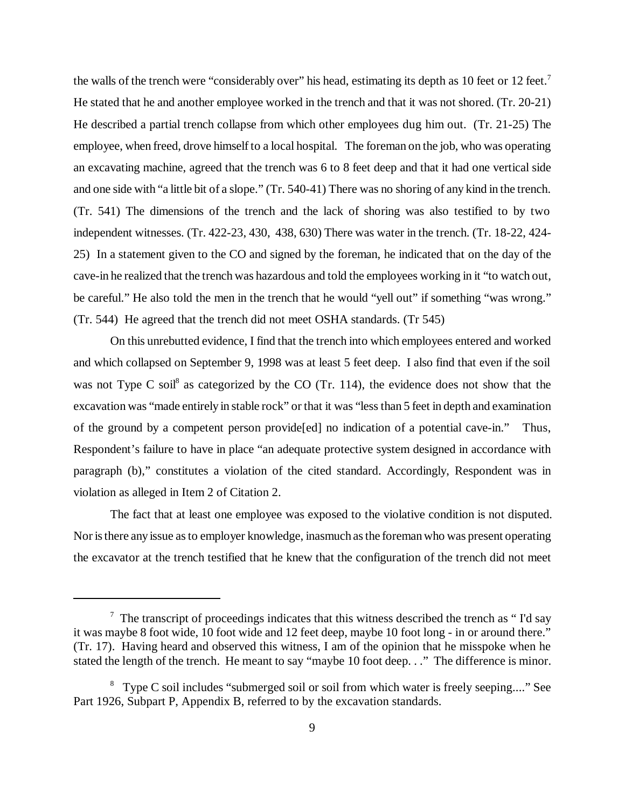the walls of the trench were "considerably over" his head, estimating its depth as 10 feet or 12 feet.<sup>7</sup> He stated that he and another employee worked in the trench and that it was not shored. (Tr. 20-21) He described a partial trench collapse from which other employees dug him out. (Tr. 21-25) The employee, when freed, drove himself to a local hospital. The foreman on the job, who was operating an excavating machine, agreed that the trench was 6 to 8 feet deep and that it had one vertical side and one side with "a little bit of a slope." (Tr. 540-41) There was no shoring of any kind in the trench. (Tr. 541) The dimensions of the trench and the lack of shoring was also testified to by two independent witnesses. (Tr. 422-23, 430, 438, 630) There was water in the trench. (Tr. 18-22, 424- 25) In a statement given to the CO and signed by the foreman, he indicated that on the day of the cave-in he realized that the trench was hazardous and told the employees working in it "to watch out, be careful." He also told the men in the trench that he would "yell out" if something "was wrong." (Tr. 544) He agreed that the trench did not meet OSHA standards. (Tr 545)

On this unrebutted evidence, I find that the trench into which employees entered and worked and which collapsed on September 9, 1998 was at least 5 feet deep. I also find that even if the soil was not Type C soil<sup>8</sup> as categorized by the CO (Tr. 114), the evidence does not show that the excavation was "made entirely in stable rock" or that it was "less than 5 feet in depth and examination of the ground by a competent person provide[ed] no indication of a potential cave-in." Thus, Respondent's failure to have in place "an adequate protective system designed in accordance with paragraph (b)," constitutes a violation of the cited standard. Accordingly, Respondent was in violation as alleged in Item 2 of Citation 2.

The fact that at least one employee was exposed to the violative condition is not disputed. Nor is there any issue as to employer knowledge, inasmuch as the foreman who was present operating the excavator at the trench testified that he knew that the configuration of the trench did not meet

 $7$  The transcript of proceedings indicates that this witness described the trench as "I'd say it was maybe 8 foot wide, 10 foot wide and 12 feet deep, maybe 10 foot long - in or around there." (Tr. 17). Having heard and observed this witness, I am of the opinion that he misspoke when he stated the length of the trench. He meant to say "maybe 10 foot deep. . ." The difference is minor.

<sup>&</sup>lt;sup>8</sup> Type C soil includes "submerged soil or soil from which water is freely seeping...." See Part 1926, Subpart P, Appendix B, referred to by the excavation standards.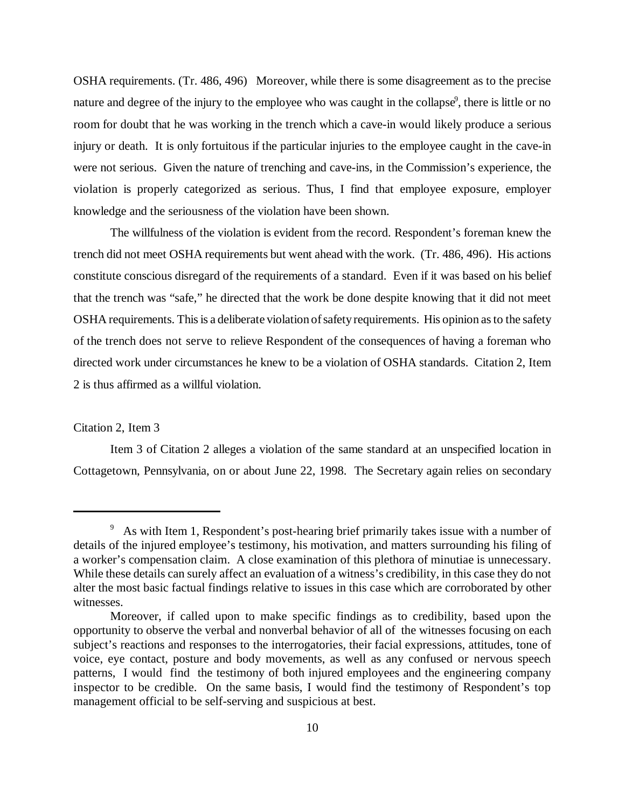OSHA requirements. (Tr. 486, 496) Moreover, while there is some disagreement as to the precise nature and degree of the injury to the employee who was caught in the collapse<sup>9</sup>, there is little or no room for doubt that he was working in the trench which a cave-in would likely produce a serious injury or death. It is only fortuitous if the particular injuries to the employee caught in the cave-in were not serious. Given the nature of trenching and cave-ins, in the Commission's experience, the violation is properly categorized as serious. Thus, I find that employee exposure, employer knowledge and the seriousness of the violation have been shown.

The willfulness of the violation is evident from the record. Respondent's foreman knew the trench did not meet OSHA requirements but went ahead with the work. (Tr. 486, 496). His actions constitute conscious disregard of the requirements of a standard. Even if it was based on his belief that the trench was "safe," he directed that the work be done despite knowing that it did not meet OSHA requirements. This is a deliberate violation of safety requirements. His opinion as to the safety of the trench does not serve to relieve Respondent of the consequences of having a foreman who directed work under circumstances he knew to be a violation of OSHA standards. Citation 2, Item 2 is thus affirmed as a willful violation.

### Citation 2, Item 3

Item 3 of Citation 2 alleges a violation of the same standard at an unspecified location in Cottagetown, Pennsylvania, on or about June 22, 1998. The Secretary again relies on secondary

<sup>&</sup>lt;sup>9</sup> As with Item 1, Respondent's post-hearing brief primarily takes issue with a number of details of the injured employee's testimony, his motivation, and matters surrounding his filing of a worker's compensation claim. A close examination of this plethora of minutiae is unnecessary. While these details can surely affect an evaluation of a witness's credibility, in this case they do not alter the most basic factual findings relative to issues in this case which are corroborated by other witnesses.

Moreover, if called upon to make specific findings as to credibility, based upon the opportunity to observe the verbal and nonverbal behavior of all of the witnesses focusing on each subject's reactions and responses to the interrogatories, their facial expressions, attitudes, tone of voice, eye contact, posture and body movements, as well as any confused or nervous speech patterns, I would find the testimony of both injured employees and the engineering company inspector to be credible. On the same basis, I would find the testimony of Respondent's top management official to be self-serving and suspicious at best.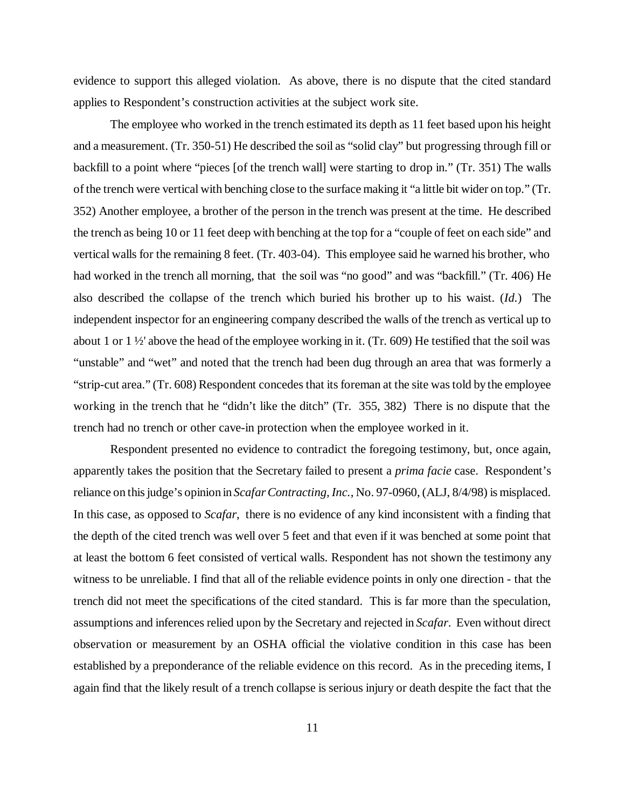evidence to support this alleged violation. As above, there is no dispute that the cited standard applies to Respondent's construction activities at the subject work site.

The employee who worked in the trench estimated its depth as 11 feet based upon his height and a measurement. (Tr. 350-51) He described the soil as "solid clay" but progressing through fill or backfill to a point where "pieces [of the trench wall] were starting to drop in." (Tr. 351) The walls of the trench were vertical with benching close to the surface making it "a little bit wider on top." (Tr. 352) Another employee, a brother of the person in the trench was present at the time. He described the trench as being 10 or 11 feet deep with benching at the top for a "couple of feet on each side" and vertical walls for the remaining 8 feet. (Tr. 403-04). This employee said he warned his brother, who had worked in the trench all morning, that the soil was "no good" and was "backfill." (Tr. 406) He also described the collapse of the trench which buried his brother up to his waist. (*Id.*) The independent inspector for an engineering company described the walls of the trench as vertical up to about 1 or  $1\frac{1}{2}$  above the head of the employee working in it. (Tr. 609) He testified that the soil was "unstable" and "wet" and noted that the trench had been dug through an area that was formerly a "strip-cut area." (Tr. 608) Respondent concedes that its foreman at the site was told by the employee working in the trench that he "didn't like the ditch" (Tr. 355, 382) There is no dispute that the trench had no trench or other cave-in protection when the employee worked in it.

Respondent presented no evidence to contradict the foregoing testimony, but, once again, apparently takes the position that the Secretary failed to present a *prima facie* case. Respondent's reliance on this judge's opinion in *Scafar Contracting, Inc.*, No. 97-0960, (ALJ, 8/4/98) is misplaced. In this case, as opposed to *Scafar*, there is no evidence of any kind inconsistent with a finding that the depth of the cited trench was well over 5 feet and that even if it was benched at some point that at least the bottom 6 feet consisted of vertical walls. Respondent has not shown the testimony any witness to be unreliable. I find that all of the reliable evidence points in only one direction - that the trench did not meet the specifications of the cited standard. This is far more than the speculation, assumptions and inferences relied upon by the Secretary and rejected in *Scafar*. Even without direct observation or measurement by an OSHA official the violative condition in this case has been established by a preponderance of the reliable evidence on this record. As in the preceding items, I again find that the likely result of a trench collapse is serious injury or death despite the fact that the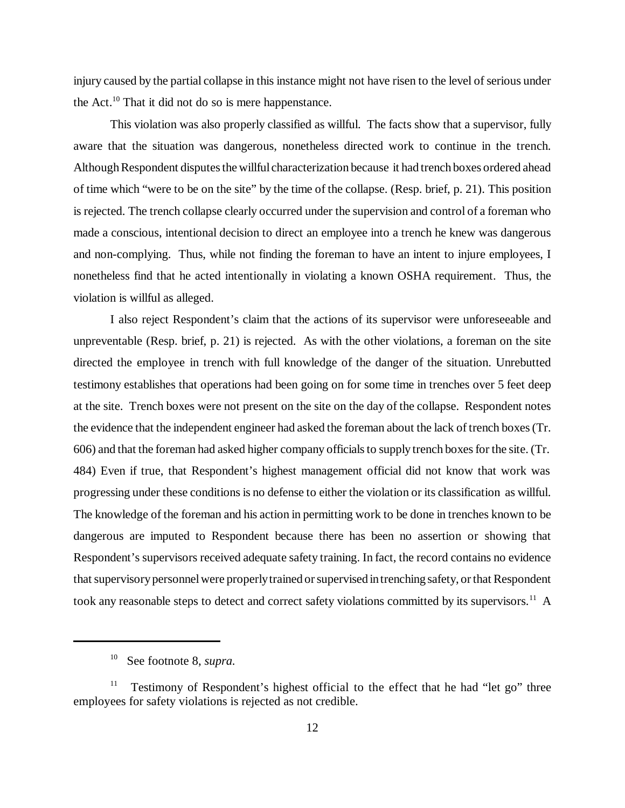injury caused by the partial collapse in this instance might not have risen to the level of serious under the Act.<sup>10</sup> That it did not do so is mere happenstance.

This violation was also properly classified as willful. The facts show that a supervisor, fully aware that the situation was dangerous, nonetheless directed work to continue in the trench. Although Respondent disputes the willful characterization because it had trench boxes ordered ahead of time which "were to be on the site" by the time of the collapse. (Resp. brief, p. 21). This position is rejected. The trench collapse clearly occurred under the supervision and control of a foreman who made a conscious, intentional decision to direct an employee into a trench he knew was dangerous and non-complying. Thus, while not finding the foreman to have an intent to injure employees, I nonetheless find that he acted intentionally in violating a known OSHA requirement. Thus, the violation is willful as alleged.

I also reject Respondent's claim that the actions of its supervisor were unforeseeable and unpreventable (Resp. brief, p. 21) is rejected. As with the other violations, a foreman on the site directed the employee in trench with full knowledge of the danger of the situation. Unrebutted testimony establishes that operations had been going on for some time in trenches over 5 feet deep at the site. Trench boxes were not present on the site on the day of the collapse. Respondent notes the evidence that the independent engineer had asked the foreman about the lack of trench boxes (Tr. 606) and that the foreman had asked higher company officials to supply trench boxes for the site. (Tr. 484) Even if true, that Respondent's highest management official did not know that work was progressing under these conditions is no defense to either the violation or its classification as willful. The knowledge of the foreman and his action in permitting work to be done in trenches known to be dangerous are imputed to Respondent because there has been no assertion or showing that Respondent's supervisors received adequate safety training. In fact, the record contains no evidence that supervisory personnel were properly trained or supervised in trenching safety, or that Respondent took any reasonable steps to detect and correct safety violations committed by its supervisors.<sup>11</sup> A

<sup>10</sup> See footnote 8, *supra.*

<sup>&</sup>lt;sup>11</sup> Testimony of Respondent's highest official to the effect that he had "let go" three employees for safety violations is rejected as not credible.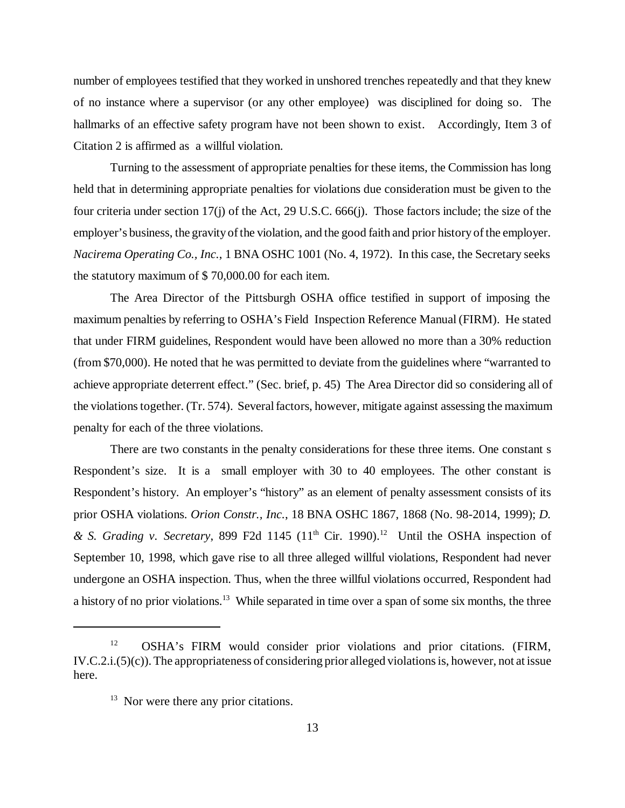number of employees testified that they worked in unshored trenches repeatedly and that they knew of no instance where a supervisor (or any other employee) was disciplined for doing so. The hallmarks of an effective safety program have not been shown to exist. Accordingly, Item 3 of Citation 2 is affirmed as a willful violation.

Turning to the assessment of appropriate penalties for these items, the Commission has long held that in determining appropriate penalties for violations due consideration must be given to the four criteria under section 17(j) of the Act, 29 U.S.C. 666(j). Those factors include; the size of the employer's business, the gravity of the violation, and the good faith and prior history of the employer. *Nacirema Operating Co., Inc.*, 1 BNA OSHC 1001 (No. 4, 1972). In this case, the Secretary seeks the statutory maximum of \$ 70,000.00 for each item.

The Area Director of the Pittsburgh OSHA office testified in support of imposing the maximum penalties by referring to OSHA's Field Inspection Reference Manual (FIRM). He stated that under FIRM guidelines, Respondent would have been allowed no more than a 30% reduction (from \$70,000). He noted that he was permitted to deviate from the guidelines where "warranted to achieve appropriate deterrent effect." (Sec. brief, p. 45) The Area Director did so considering all of the violations together. (Tr. 574). Several factors, however, mitigate against assessing the maximum penalty for each of the three violations.

There are two constants in the penalty considerations for these three items. One constant s Respondent's size. It is a small employer with 30 to 40 employees. The other constant is Respondent's history. An employer's "history" as an element of penalty assessment consists of its prior OSHA violations. *Orion Constr., Inc.*, 18 BNA OSHC 1867, 1868 (No. 98-2014, 1999); *D. & S. Grading v. Secretary*, 899 F2d 1145 (11<sup>th</sup> Cir. 1990).<sup>12</sup> Until the OSHA inspection of September 10, 1998, which gave rise to all three alleged willful violations, Respondent had never undergone an OSHA inspection. Thus, when the three willful violations occurred, Respondent had a history of no prior violations.13 While separated in time over a span of some six months, the three

<sup>&</sup>lt;sup>12</sup> OSHA's FIRM would consider prior violations and prior citations. (FIRM, IV.C.2.i.(5)(c)). The appropriateness of considering prior alleged violations is, however, not at issue here.

 $13$  Nor were there any prior citations.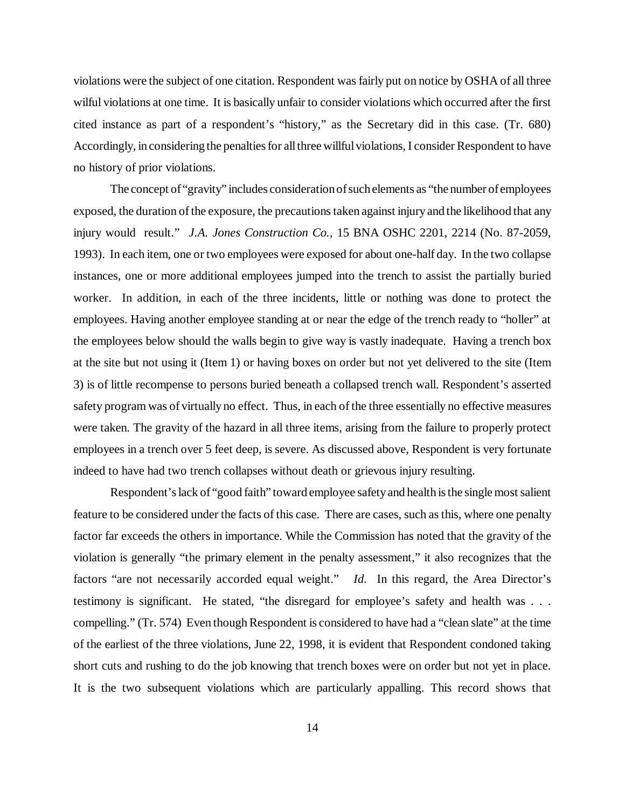violations were the subject of one citation. Respondent was fairly put on notice by OSHA of all three wilful violations at one time. It is basically unfair to consider violations which occurred after the first cited instance as part of a respondent's "history," as the Secretary did in this case. (Tr. 680) Accordingly, in considering the penalties for all three willful violations, I consider Respondent to have no history of prior violations.

The concept of "gravity" includes consideration of such elements as "the number of employees exposed, the duration of the exposure, the precautions taken against injury and the likelihood that any injury would result." *J.A. Jones Construction Co.,* 15 BNA OSHC 2201, 2214 (No. 87-2059, 1993). In each item, one or two employees were exposed for about one-half day. In the two collapse instances, one or more additional employees jumped into the trench to assist the partially buried worker. In addition, in each of the three incidents, little or nothing was done to protect the employees. Having another employee standing at or near the edge of the trench ready to "holler" at the employees below should the walls begin to give way is vastly inadequate. Having a trench box at the site but not using it (Item 1) or having boxes on order but not yet delivered to the site (Item 3) is of little recompense to persons buried beneath a collapsed trench wall. Respondent's asserted safety program was of virtually no effect. Thus, in each of the three essentially no effective measures were taken. The gravity of the hazard in all three items, arising from the failure to properly protect employees in a trench over 5 feet deep, is severe. As discussed above, Respondent is very fortunate indeed to have had two trench collapses without death or grievous injury resulting.

Respondent's lack of "good faith" toward employee safety and health is the single most salient feature to be considered under the facts of this case. There are cases, such as this, where one penalty factor far exceeds the others in importance. While the Commission has noted that the gravity of the violation is generally "the primary element in the penalty assessment," it also recognizes that the factors "are not necessarily accorded equal weight." *Id.* In this regard, the Area Director's testimony is significant. He stated, "the disregard for employee's safety and health was . . . compelling." (Tr. 574) Even though Respondent is considered to have had a "clean slate" at the time of the earliest of the three violations, June 22, 1998, it is evident that Respondent condoned taking short cuts and rushing to do the job knowing that trench boxes were on order but not yet in place. It is the two subsequent violations which are particularly appalling. This record shows that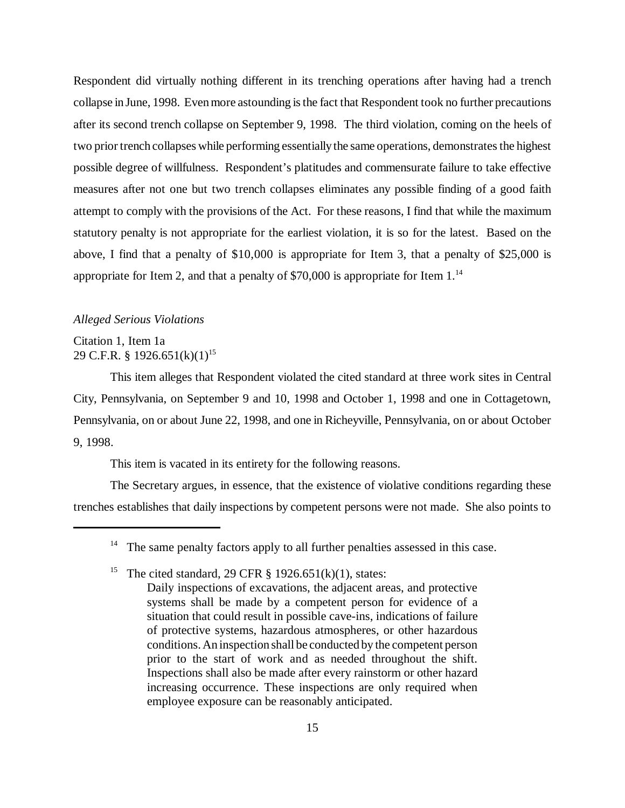Respondent did virtually nothing different in its trenching operations after having had a trench collapse in June, 1998. Even more astounding is the fact that Respondent took no further precautions after its second trench collapse on September 9, 1998. The third violation, coming on the heels of two prior trench collapses while performing essentially the same operations, demonstrates the highest possible degree of willfulness. Respondent's platitudes and commensurate failure to take effective measures after not one but two trench collapses eliminates any possible finding of a good faith attempt to comply with the provisions of the Act. For these reasons, I find that while the maximum statutory penalty is not appropriate for the earliest violation, it is so for the latest. Based on the above, I find that a penalty of \$10,000 is appropriate for Item 3, that a penalty of \$25,000 is appropriate for Item 2, and that a penalty of  $$70,000$  is appropriate for Item 1.<sup>14</sup>

#### *Alleged Serious Violations*

Citation 1, Item 1a 29 C.F.R. § 1926.651(k)(1)<sup>15</sup>

This item alleges that Respondent violated the cited standard at three work sites in Central City, Pennsylvania, on September 9 and 10, 1998 and October 1, 1998 and one in Cottagetown, Pennsylvania, on or about June 22, 1998, and one in Richeyville, Pennsylvania, on or about October 9, 1998.

This item is vacated in its entirety for the following reasons.

The Secretary argues, in essence, that the existence of violative conditions regarding these trenches establishes that daily inspections by competent persons were not made. She also points to

 $14$  The same penalty factors apply to all further penalties assessed in this case.

<sup>&</sup>lt;sup>15</sup> The cited standard, 29 CFR  $\S$  1926.651(k)(1), states:

Daily inspections of excavations, the adjacent areas, and protective systems shall be made by a competent person for evidence of a situation that could result in possible cave-ins, indications of failure of protective systems, hazardous atmospheres, or other hazardous conditions. An inspection shall be conducted by the competent person prior to the start of work and as needed throughout the shift. Inspections shall also be made after every rainstorm or other hazard increasing occurrence. These inspections are only required when employee exposure can be reasonably anticipated.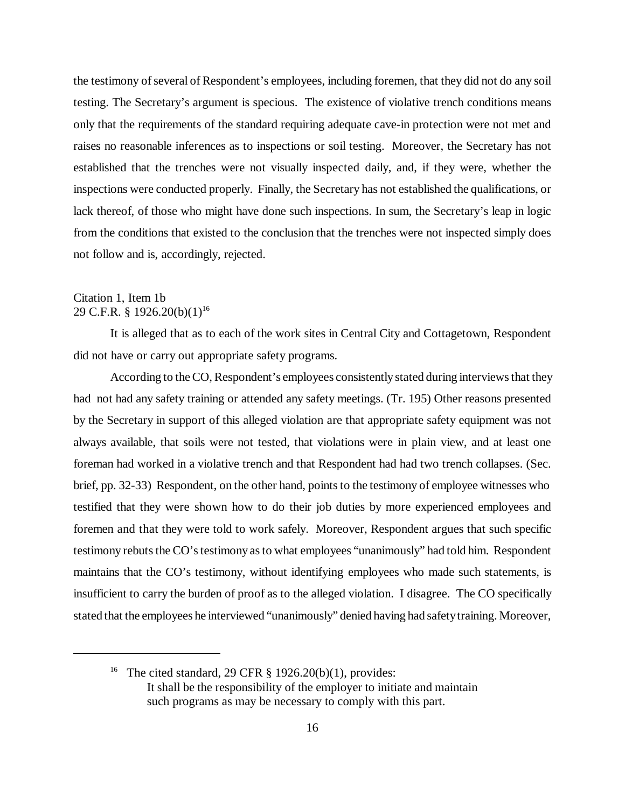the testimony of several of Respondent's employees, including foremen, that they did not do any soil testing. The Secretary's argument is specious. The existence of violative trench conditions means only that the requirements of the standard requiring adequate cave-in protection were not met and raises no reasonable inferences as to inspections or soil testing. Moreover, the Secretary has not established that the trenches were not visually inspected daily, and, if they were, whether the inspections were conducted properly. Finally, the Secretary has not established the qualifications, or lack thereof, of those who might have done such inspections. In sum, the Secretary's leap in logic from the conditions that existed to the conclusion that the trenches were not inspected simply does not follow and is, accordingly, rejected.

### Citation 1, Item 1b 29 C.F.R. § 1926.20(b)(1)<sup>16</sup>

It is alleged that as to each of the work sites in Central City and Cottagetown, Respondent did not have or carry out appropriate safety programs.

According to the CO, Respondent's employees consistently stated during interviews that they had not had any safety training or attended any safety meetings. (Tr. 195) Other reasons presented by the Secretary in support of this alleged violation are that appropriate safety equipment was not always available, that soils were not tested, that violations were in plain view, and at least one foreman had worked in a violative trench and that Respondent had had two trench collapses. (Sec. brief, pp. 32-33) Respondent, on the other hand, points to the testimony of employee witnesses who testified that they were shown how to do their job duties by more experienced employees and foremen and that they were told to work safely. Moreover, Respondent argues that such specific testimony rebuts the CO's testimony as to what employees "unanimously" had told him. Respondent maintains that the CO's testimony, without identifying employees who made such statements, is insufficient to carry the burden of proof as to the alleged violation. I disagree. The CO specifically stated that the employees he interviewed "unanimously" denied having had safety training. Moreover,

<sup>&</sup>lt;sup>16</sup> The cited standard, 29 CFR  $\S$  1926.20(b)(1), provides: It shall be the responsibility of the employer to initiate and maintain such programs as may be necessary to comply with this part.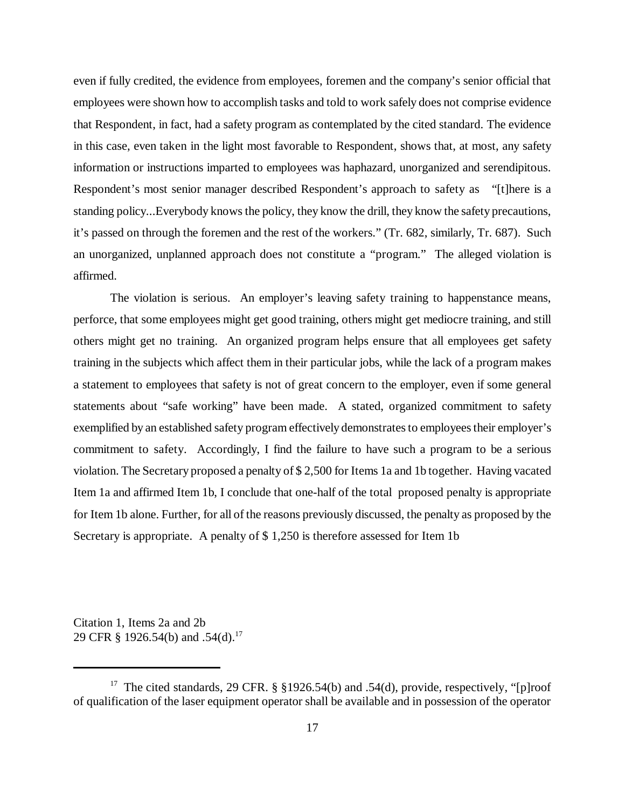even if fully credited, the evidence from employees, foremen and the company's senior official that employees were shown how to accomplish tasks and told to work safely does not comprise evidence that Respondent, in fact, had a safety program as contemplated by the cited standard. The evidence in this case, even taken in the light most favorable to Respondent, shows that, at most, any safety information or instructions imparted to employees was haphazard, unorganized and serendipitous. Respondent's most senior manager described Respondent's approach to safety as "[t]here is a standing policy...Everybody knows the policy, they know the drill, they know the safety precautions, it's passed on through the foremen and the rest of the workers." (Tr. 682, similarly, Tr. 687). Such an unorganized, unplanned approach does not constitute a "program." The alleged violation is affirmed.

The violation is serious. An employer's leaving safety training to happenstance means, perforce, that some employees might get good training, others might get mediocre training, and still others might get no training. An organized program helps ensure that all employees get safety training in the subjects which affect them in their particular jobs, while the lack of a program makes a statement to employees that safety is not of great concern to the employer, even if some general statements about "safe working" have been made. A stated, organized commitment to safety exemplified by an established safety program effectively demonstrates to employees their employer's commitment to safety. Accordingly, I find the failure to have such a program to be a serious violation. The Secretary proposed a penalty of \$ 2,500 for Items 1a and 1b together. Having vacated Item 1a and affirmed Item 1b, I conclude that one-half of the total proposed penalty is appropriate for Item 1b alone. Further, for all of the reasons previously discussed, the penalty as proposed by the Secretary is appropriate. A penalty of \$ 1,250 is therefore assessed for Item 1b

Citation 1, Items 2a and 2b 29 CFR § 1926.54(b) and .54(d).<sup>17</sup>

<sup>&</sup>lt;sup>17</sup> The cited standards, 29 CFR. § §1926.54(b) and .54(d), provide, respectively, "[p]roof of qualification of the laser equipment operator shall be available and in possession of the operator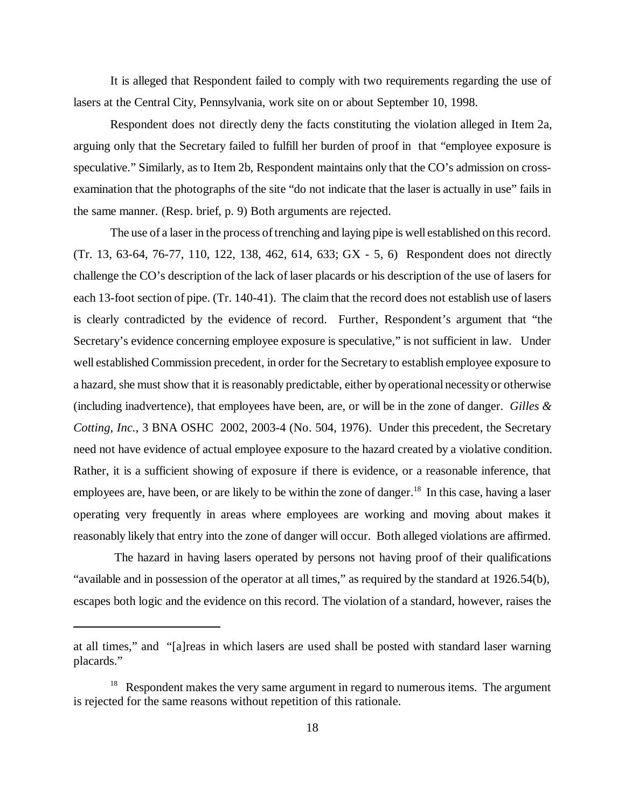It is alleged that Respondent failed to comply with two requirements regarding the use of lasers at the Central City, Pennsylvania, work site on or about September 10, 1998.

Respondent does not directly deny the facts constituting the violation alleged in Item 2a, arguing only that the Secretary failed to fulfill her burden of proof in that "employee exposure is speculative." Similarly, as to Item 2b, Respondent maintains only that the CO's admission on crossexamination that the photographs of the site "do not indicate that the laser is actually in use" fails in the same manner. (Resp. brief, p. 9) Both arguments are rejected.

The use of a laser in the process of trenching and laying pipe is well established on this record. (Tr. 13, 63-64, 76-77, 110, 122, 138, 462, 614, 633; GX - 5, 6) Respondent does not directly challenge the CO's description of the lack of laser placards or his description of the use of lasers for each 13-foot section of pipe. (Tr. 140-41). The claim that the record does not establish use of lasers is clearly contradicted by the evidence of record. Further, Respondent's argument that "the Secretary's evidence concerning employee exposure is speculative," is not sufficient in law. Under well established Commission precedent, in order for the Secretary to establish employee exposure to a hazard, she must show that it is reasonably predictable, either by operational necessity or otherwise (including inadvertence), that employees have been, are, or will be in the zone of danger. *Gilles & Cotting, Inc.*, 3 BNA OSHC 2002, 2003-4 (No. 504, 1976). Under this precedent, the Secretary need not have evidence of actual employee exposure to the hazard created by a violative condition. Rather, it is a sufficient showing of exposure if there is evidence, or a reasonable inference, that employees are, have been, or are likely to be within the zone of danger.<sup>18</sup> In this case, having a laser operating very frequently in areas where employees are working and moving about makes it reasonably likely that entry into the zone of danger will occur. Both alleged violations are affirmed.

 The hazard in having lasers operated by persons not having proof of their qualifications "available and in possession of the operator at all times," as required by the standard at 1926.54(b), escapes both logic and the evidence on this record. The violation of a standard, however, raises the

at all times," and "[a]reas in which lasers are used shall be posted with standard laser warning placards."

 $18$  Respondent makes the very same argument in regard to numerous items. The argument is rejected for the same reasons without repetition of this rationale.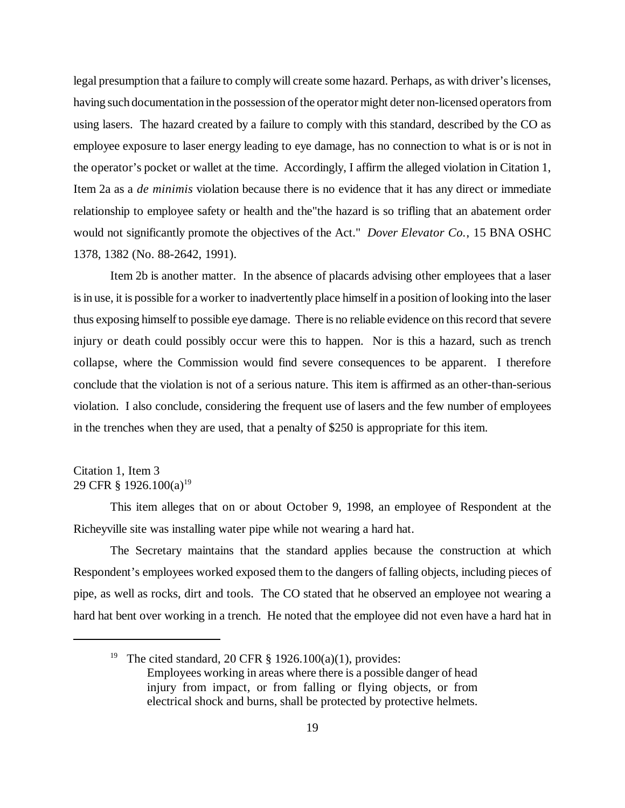legal presumption that a failure to comply will create some hazard. Perhaps, as with driver's licenses, having such documentation in the possession of the operator might deter non-licensed operators from using lasers. The hazard created by a failure to comply with this standard, described by the CO as employee exposure to laser energy leading to eye damage, has no connection to what is or is not in the operator's pocket or wallet at the time. Accordingly, I affirm the alleged violation in Citation 1, Item 2a as a *de minimis* violation because there is no evidence that it has any direct or immediate relationship to employee safety or health and the"the hazard is so trifling that an abatement order would not significantly promote the objectives of the Act." *Dover Elevator Co.*, 15 BNA OSHC 1378, 1382 (No. 88-2642, 1991).

Item 2b is another matter. In the absence of placards advising other employees that a laser is in use, it is possible for a worker to inadvertently place himself in a position of looking into the laser thus exposing himself to possible eye damage. There is no reliable evidence on this record that severe injury or death could possibly occur were this to happen. Nor is this a hazard, such as trench collapse, where the Commission would find severe consequences to be apparent. I therefore conclude that the violation is not of a serious nature. This item is affirmed as an other-than-serious violation. I also conclude, considering the frequent use of lasers and the few number of employees in the trenches when they are used, that a penalty of \$250 is appropriate for this item.

### Citation 1, Item 3 29 CFR § 1926.100(a)<sup>19</sup>

This item alleges that on or about October 9, 1998, an employee of Respondent at the Richeyville site was installing water pipe while not wearing a hard hat.

The Secretary maintains that the standard applies because the construction at which Respondent's employees worked exposed them to the dangers of falling objects, including pieces of pipe, as well as rocks, dirt and tools. The CO stated that he observed an employee not wearing a hard hat bent over working in a trench. He noted that the employee did not even have a hard hat in

<sup>&</sup>lt;sup>19</sup> The cited standard, 20 CFR  $\S$  1926.100(a)(1), provides: Employees working in areas where there is a possible danger of head injury from impact, or from falling or flying objects, or from electrical shock and burns, shall be protected by protective helmets.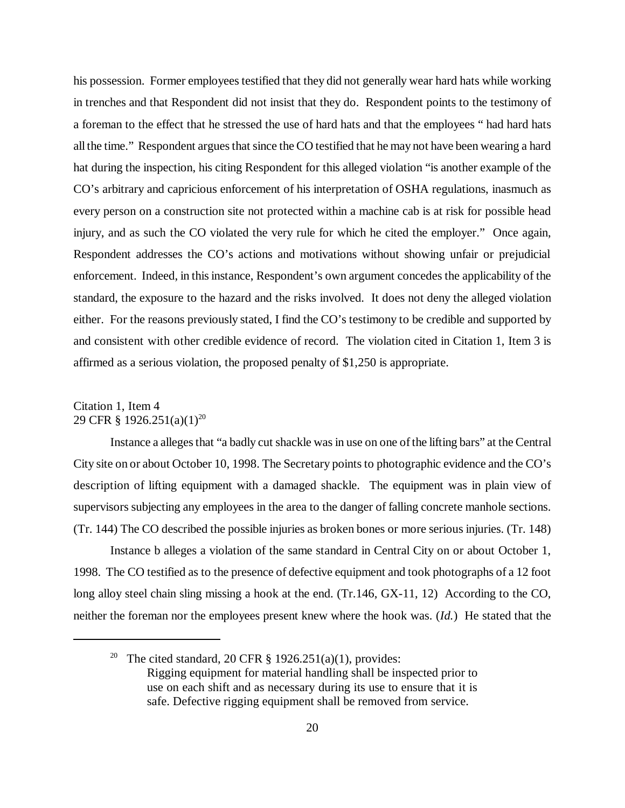his possession. Former employees testified that they did not generally wear hard hats while working in trenches and that Respondent did not insist that they do. Respondent points to the testimony of a foreman to the effect that he stressed the use of hard hats and that the employees " had hard hats all the time." Respondent argues that since the CO testified that he may not have been wearing a hard hat during the inspection, his citing Respondent for this alleged violation "is another example of the CO's arbitrary and capricious enforcement of his interpretation of OSHA regulations, inasmuch as every person on a construction site not protected within a machine cab is at risk for possible head injury, and as such the CO violated the very rule for which he cited the employer." Once again, Respondent addresses the CO's actions and motivations without showing unfair or prejudicial enforcement. Indeed, in this instance, Respondent's own argument concedes the applicability of the standard, the exposure to the hazard and the risks involved. It does not deny the alleged violation either. For the reasons previously stated, I find the CO's testimony to be credible and supported by and consistent with other credible evidence of record. The violation cited in Citation 1, Item 3 is affirmed as a serious violation, the proposed penalty of \$1,250 is appropriate.

## Citation 1, Item 4 29 CFR § 1926.251(a)(1)<sup>20</sup>

Instance a alleges that "a badly cut shackle was in use on one of the lifting bars" at the Central City site on or about October 10, 1998. The Secretary points to photographic evidence and the CO's description of lifting equipment with a damaged shackle. The equipment was in plain view of supervisors subjecting any employees in the area to the danger of falling concrete manhole sections. (Tr. 144) The CO described the possible injuries as broken bones or more serious injuries. (Tr. 148)

Instance b alleges a violation of the same standard in Central City on or about October 1, 1998. The CO testified as to the presence of defective equipment and took photographs of a 12 foot long alloy steel chain sling missing a hook at the end. (Tr.146, GX-11, 12) According to the CO, neither the foreman nor the employees present knew where the hook was. (*Id.*) He stated that the

<sup>&</sup>lt;sup>20</sup> The cited standard, 20 CFR  $\S$  1926.251(a)(1), provides: Rigging equipment for material handling shall be inspected prior to use on each shift and as necessary during its use to ensure that it is safe. Defective rigging equipment shall be removed from service.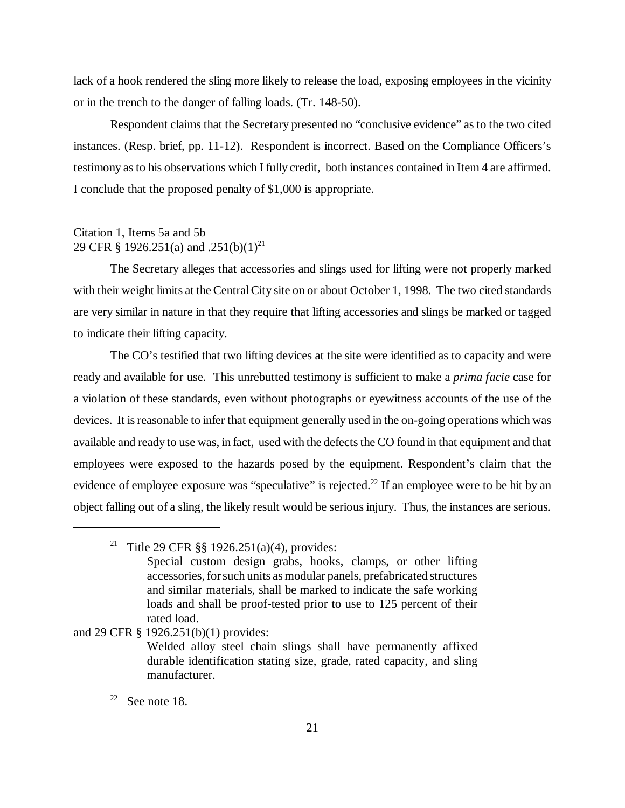lack of a hook rendered the sling more likely to release the load, exposing employees in the vicinity or in the trench to the danger of falling loads. (Tr. 148-50).

Respondent claims that the Secretary presented no "conclusive evidence" as to the two cited instances. (Resp. brief, pp. 11-12). Respondent is incorrect. Based on the Compliance Officers's testimony as to his observations which I fully credit, both instances contained in Item 4 are affirmed. I conclude that the proposed penalty of \$1,000 is appropriate.

### Citation 1, Items 5a and 5b 29 CFR § 1926.251(a) and .251(b)(1)<sup>21</sup>

The Secretary alleges that accessories and slings used for lifting were not properly marked with their weight limits at the Central City site on or about October 1, 1998. The two cited standards are very similar in nature in that they require that lifting accessories and slings be marked or tagged to indicate their lifting capacity.

The CO's testified that two lifting devices at the site were identified as to capacity and were ready and available for use. This unrebutted testimony is sufficient to make a *prima facie* case for a violation of these standards, even without photographs or eyewitness accounts of the use of the devices. It is reasonable to infer that equipment generally used in the on-going operations which was available and ready to use was, in fact, used with the defects the CO found in that equipment and that employees were exposed to the hazards posed by the equipment. Respondent's claim that the evidence of employee exposure was "speculative" is rejected.<sup>22</sup> If an employee were to be hit by an object falling out of a sling, the likely result would be serious injury. Thus, the instances are serious.

and 29 CFR § 1926.251(b)(1) provides:

# $22$  See note 18.

<sup>&</sup>lt;sup>21</sup> Title 29 CFR §§ 1926.251(a)(4), provides:

Special custom design grabs, hooks, clamps, or other lifting accessories, for such units as modular panels, prefabricated structures and similar materials, shall be marked to indicate the safe working loads and shall be proof-tested prior to use to 125 percent of their rated load.

Welded alloy steel chain slings shall have permanently affixed durable identification stating size, grade, rated capacity, and sling manufacturer.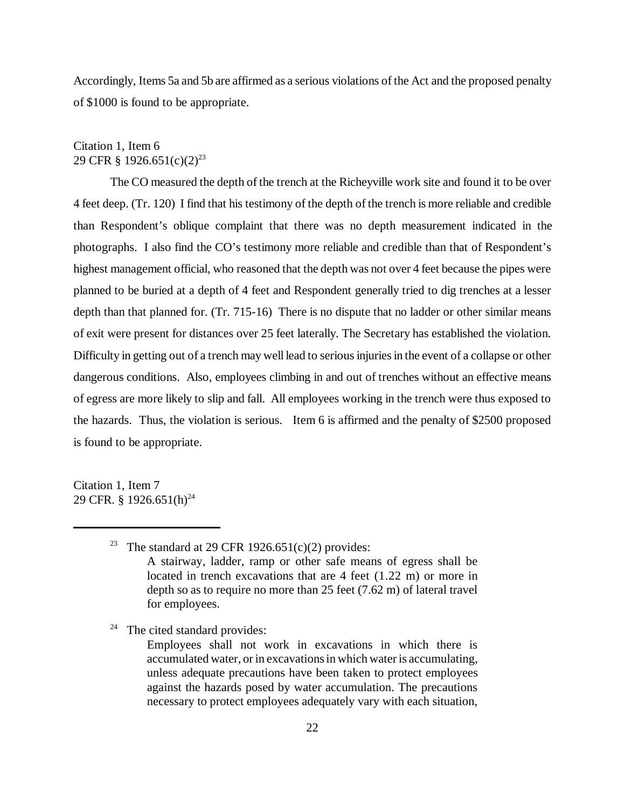Accordingly, Items 5a and 5b are affirmed as a serious violations of the Act and the proposed penalty of \$1000 is found to be appropriate.

## Citation 1, Item 6 29 CFR § 1926.651(c)(2)<sup>23</sup>

The CO measured the depth of the trench at the Richeyville work site and found it to be over 4 feet deep. (Tr. 120) I find that his testimony of the depth of the trench is more reliable and credible than Respondent's oblique complaint that there was no depth measurement indicated in the photographs. I also find the CO's testimony more reliable and credible than that of Respondent's highest management official, who reasoned that the depth was not over 4 feet because the pipes were planned to be buried at a depth of 4 feet and Respondent generally tried to dig trenches at a lesser depth than that planned for. (Tr. 715-16) There is no dispute that no ladder or other similar means of exit were present for distances over 25 feet laterally. The Secretary has established the violation. Difficulty in getting out of a trench may well lead to serious injuries in the event of a collapse or other dangerous conditions. Also, employees climbing in and out of trenches without an effective means of egress are more likely to slip and fall. All employees working in the trench were thus exposed to the hazards. Thus, the violation is serious. Item 6 is affirmed and the penalty of \$2500 proposed is found to be appropriate.

Citation 1, Item 7 29 CFR. § 1926.651(h)<sup>24</sup>

 $24$  The cited standard provides:

<sup>&</sup>lt;sup>23</sup> The standard at 29 CFR 1926.651(c)(2) provides: A stairway, ladder, ramp or other safe means of egress shall be located in trench excavations that are 4 feet (1.22 m) or more in depth so as to require no more than 25 feet (7.62 m) of lateral travel for employees.

Employees shall not work in excavations in which there is accumulated water, or in excavations in which water is accumulating, unless adequate precautions have been taken to protect employees against the hazards posed by water accumulation. The precautions necessary to protect employees adequately vary with each situation,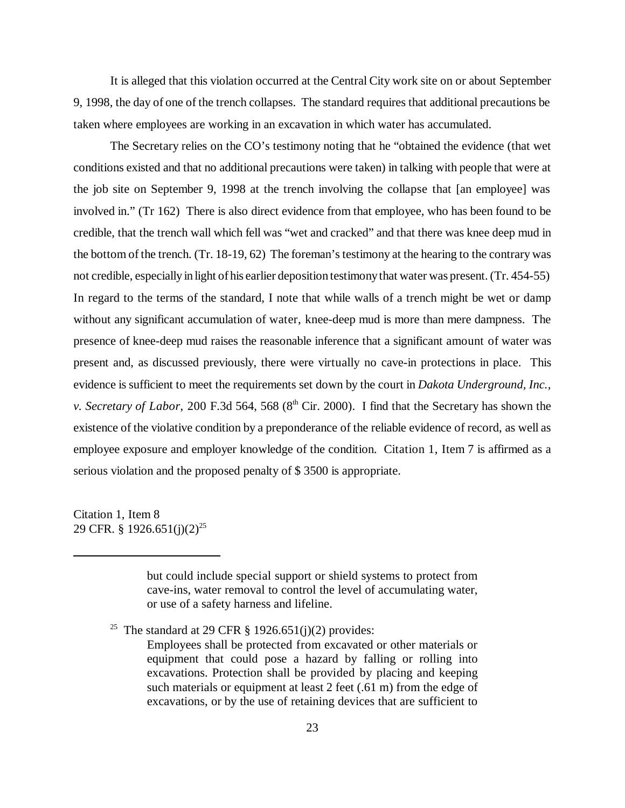It is alleged that this violation occurred at the Central City work site on or about September 9, 1998, the day of one of the trench collapses. The standard requires that additional precautions be taken where employees are working in an excavation in which water has accumulated.

The Secretary relies on the CO's testimony noting that he "obtained the evidence (that wet conditions existed and that no additional precautions were taken) in talking with people that were at the job site on September 9, 1998 at the trench involving the collapse that [an employee] was involved in." (Tr 162) There is also direct evidence from that employee, who has been found to be credible, that the trench wall which fell was "wet and cracked" and that there was knee deep mud in the bottom of the trench. (Tr. 18-19, 62) The foreman's testimony at the hearing to the contrary was not credible, especially in light of his earlier deposition testimony that water was present. (Tr. 454-55) In regard to the terms of the standard, I note that while walls of a trench might be wet or damp without any significant accumulation of water, knee-deep mud is more than mere dampness. The presence of knee-deep mud raises the reasonable inference that a significant amount of water was present and, as discussed previously, there were virtually no cave-in protections in place. This evidence is sufficient to meet the requirements set down by the court in *Dakota Underground, Inc., v. Secretary of Labor*, 200 F.3d 564, 568 (8<sup>th</sup> Cir. 2000). I find that the Secretary has shown the existence of the violative condition by a preponderance of the reliable evidence of record, as well as employee exposure and employer knowledge of the condition. Citation 1, Item 7 is affirmed as a serious violation and the proposed penalty of \$ 3500 is appropriate.

Citation 1, Item 8 29 CFR. § 1926.651(j)(2)<sup>25</sup>

> but could include special support or shield systems to protect from cave-ins, water removal to control the level of accumulating water, or use of a safety harness and lifeline.

<sup>25</sup> The standard at 29 CFR  $\S$  1926.651(j)(2) provides:

Employees shall be protected from excavated or other materials or equipment that could pose a hazard by falling or rolling into excavations. Protection shall be provided by placing and keeping such materials or equipment at least 2 feet (.61 m) from the edge of excavations, or by the use of retaining devices that are sufficient to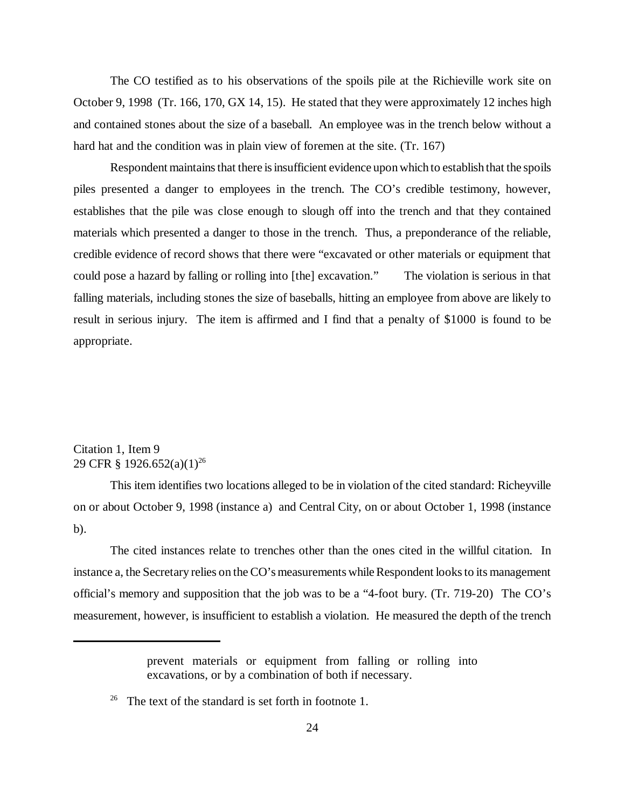The CO testified as to his observations of the spoils pile at the Richieville work site on October 9, 1998 (Tr. 166, 170, GX 14, 15). He stated that they were approximately 12 inches high and contained stones about the size of a baseball. An employee was in the trench below without a hard hat and the condition was in plain view of foremen at the site. (Tr. 167)

Respondent maintains that there is insufficient evidence upon which to establish that the spoils piles presented a danger to employees in the trench. The CO's credible testimony, however, establishes that the pile was close enough to slough off into the trench and that they contained materials which presented a danger to those in the trench. Thus, a preponderance of the reliable, credible evidence of record shows that there were "excavated or other materials or equipment that could pose a hazard by falling or rolling into [the] excavation." The violation is serious in that falling materials, including stones the size of baseballs, hitting an employee from above are likely to result in serious injury. The item is affirmed and I find that a penalty of \$1000 is found to be appropriate.

# Citation 1, Item 9 29 CFR § 1926.652(a)(1)<sup>26</sup>

This item identifies two locations alleged to be in violation of the cited standard: Richeyville on or about October 9, 1998 (instance a) and Central City, on or about October 1, 1998 (instance b).

The cited instances relate to trenches other than the ones cited in the willful citation. In instance a, the Secretary relies on the CO's measurements while Respondent looks to its management official's memory and supposition that the job was to be a "4-foot bury. (Tr. 719-20) The CO's measurement, however, is insufficient to establish a violation. He measured the depth of the trench

prevent materials or equipment from falling or rolling into excavations, or by a combination of both if necessary.

<sup>&</sup>lt;sup>26</sup> The text of the standard is set forth in footnote 1.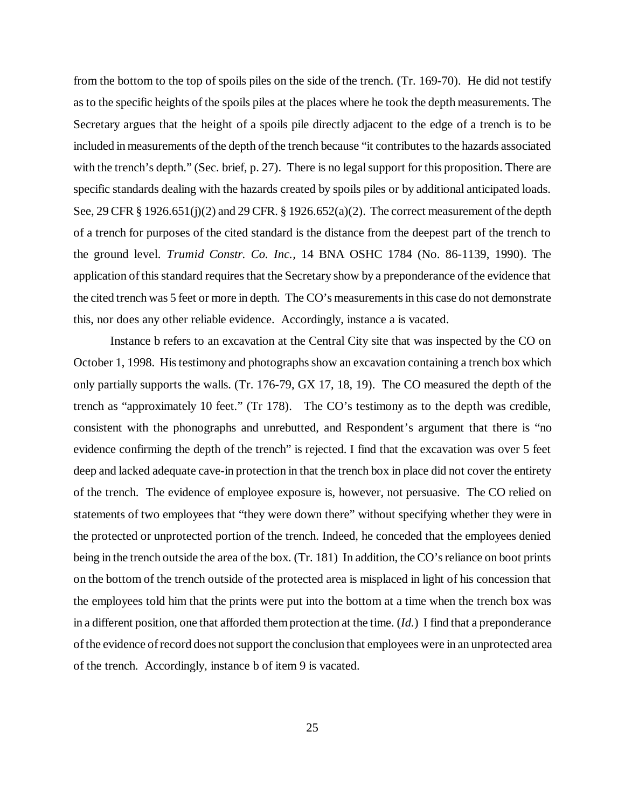from the bottom to the top of spoils piles on the side of the trench. (Tr. 169-70). He did not testify as to the specific heights of the spoils piles at the places where he took the depth measurements. The Secretary argues that the height of a spoils pile directly adjacent to the edge of a trench is to be included in measurements of the depth of the trench because "it contributes to the hazards associated with the trench's depth." (Sec. brief, p. 27). There is no legal support for this proposition. There are specific standards dealing with the hazards created by spoils piles or by additional anticipated loads. See, 29 CFR § 1926.651(j)(2) and 29 CFR. § 1926.652(a)(2). The correct measurement of the depth of a trench for purposes of the cited standard is the distance from the deepest part of the trench to the ground level. *Trumid Constr. Co. Inc.,* 14 BNA OSHC 1784 (No. 86-1139, 1990). The application of this standard requires that the Secretary show by a preponderance of the evidence that the cited trench was 5 feet or more in depth. The CO's measurements in this case do not demonstrate this, nor does any other reliable evidence. Accordingly, instance a is vacated.

Instance b refers to an excavation at the Central City site that was inspected by the CO on October 1, 1998. His testimony and photographs show an excavation containing a trench box which only partially supports the walls. (Tr. 176-79, GX 17, 18, 19). The CO measured the depth of the trench as "approximately 10 feet." (Tr 178). The CO's testimony as to the depth was credible, consistent with the phonographs and unrebutted, and Respondent's argument that there is "no evidence confirming the depth of the trench" is rejected. I find that the excavation was over 5 feet deep and lacked adequate cave-in protection in that the trench box in place did not cover the entirety of the trench. The evidence of employee exposure is, however, not persuasive. The CO relied on statements of two employees that "they were down there" without specifying whether they were in the protected or unprotected portion of the trench. Indeed, he conceded that the employees denied being in the trench outside the area of the box. (Tr. 181) In addition, the CO's reliance on boot prints on the bottom of the trench outside of the protected area is misplaced in light of his concession that the employees told him that the prints were put into the bottom at a time when the trench box was in a different position, one that afforded them protection at the time. (*Id.*) I find that a preponderance of the evidence of record does not support the conclusion that employees were in an unprotected area of the trench. Accordingly, instance b of item 9 is vacated.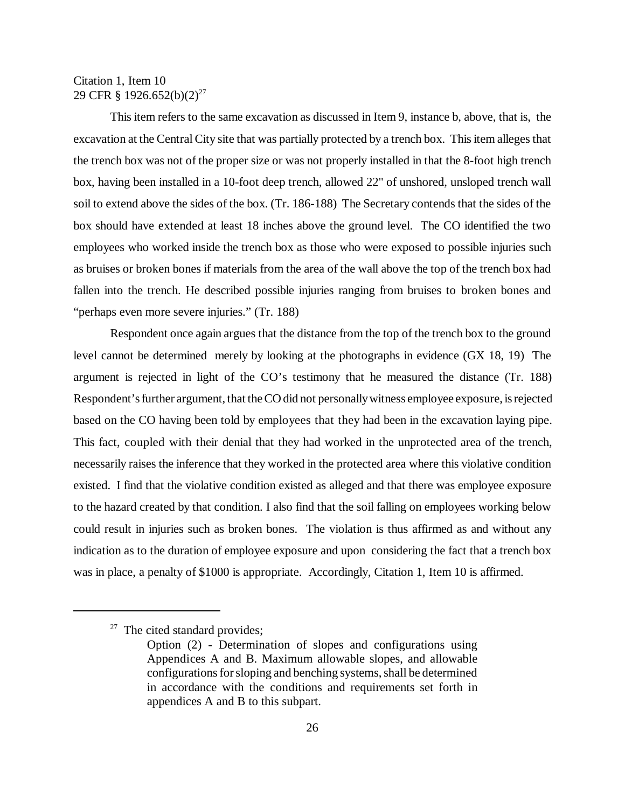### Citation 1, Item 10 29 CFR § 1926.652(b)(2)<sup>27</sup>

This item refers to the same excavation as discussed in Item 9, instance b, above, that is, the excavation at the Central City site that was partially protected by a trench box. This item alleges that the trench box was not of the proper size or was not properly installed in that the 8-foot high trench box, having been installed in a 10-foot deep trench, allowed 22" of unshored, unsloped trench wall soil to extend above the sides of the box. (Tr. 186-188) The Secretary contends that the sides of the box should have extended at least 18 inches above the ground level. The CO identified the two employees who worked inside the trench box as those who were exposed to possible injuries such as bruises or broken bones if materials from the area of the wall above the top of the trench box had fallen into the trench. He described possible injuries ranging from bruises to broken bones and "perhaps even more severe injuries." (Tr. 188)

Respondent once again argues that the distance from the top of the trench box to the ground level cannot be determined merely by looking at the photographs in evidence (GX 18, 19) The argument is rejected in light of the CO's testimony that he measured the distance (Tr. 188) Respondent's further argument, that the CO did not personally witness employee exposure, is rejected based on the CO having been told by employees that they had been in the excavation laying pipe. This fact, coupled with their denial that they had worked in the unprotected area of the trench, necessarily raises the inference that they worked in the protected area where this violative condition existed. I find that the violative condition existed as alleged and that there was employee exposure to the hazard created by that condition. I also find that the soil falling on employees working below could result in injuries such as broken bones. The violation is thus affirmed as and without any indication as to the duration of employee exposure and upon considering the fact that a trench box was in place, a penalty of \$1000 is appropriate. Accordingly, Citation 1, Item 10 is affirmed.

 $27$  The cited standard provides;

Option (2) - Determination of slopes and configurations using Appendices A and B. Maximum allowable slopes, and allowable configurations for sloping and benching systems, shall be determined in accordance with the conditions and requirements set forth in appendices A and B to this subpart.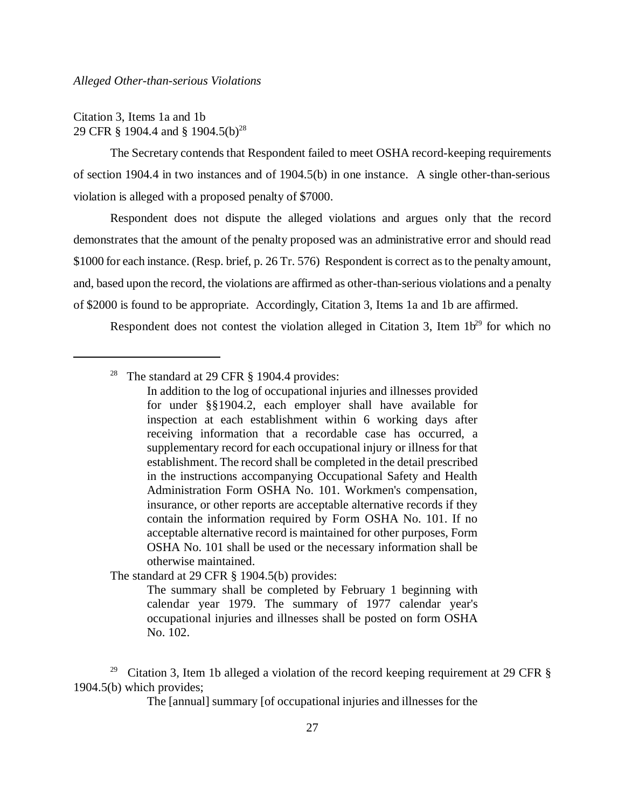Citation 3, Items 1a and 1b 29 CFR § 1904.4 and § 1904.5(b)<sup>28</sup>

The Secretary contends that Respondent failed to meet OSHA record-keeping requirements of section 1904.4 in two instances and of 1904.5(b) in one instance. A single other-than-serious violation is alleged with a proposed penalty of \$7000.

Respondent does not dispute the alleged violations and argues only that the record demonstrates that the amount of the penalty proposed was an administrative error and should read \$1000 for each instance. (Resp. brief, p. 26 Tr. 576) Respondent is correct as to the penalty amount, and, based upon the record, the violations are affirmed as other-than-serious violations and a penalty of \$2000 is found to be appropriate. Accordingly, Citation 3, Items 1a and 1b are affirmed.

Respondent does not contest the violation alleged in Citation 3, Item  $1b^{29}$  for which no

<sup>28</sup> The standard at 29 CFR  $\S$  1904.4 provides:

In addition to the log of occupational injuries and illnesses provided for under §§1904.2, each employer shall have available for inspection at each establishment within 6 working days after receiving information that a recordable case has occurred, a supplementary record for each occupational injury or illness for that establishment. The record shall be completed in the detail prescribed in the instructions accompanying Occupational Safety and Health Administration Form OSHA No. 101. Workmen's compensation, insurance, or other reports are acceptable alternative records if they contain the information required by Form OSHA No. 101. If no acceptable alternative record is maintained for other purposes, Form OSHA No. 101 shall be used or the necessary information shall be otherwise maintained.

The standard at 29 CFR § 1904.5(b) provides:

The summary shall be completed by February 1 beginning with calendar year 1979. The summary of 1977 calendar year's occupational injuries and illnesses shall be posted on form OSHA No. 102.

<sup>29</sup> Citation 3, Item 1b alleged a violation of the record keeping requirement at 29 CFR  $\S$ 1904.5(b) which provides;

The [annual] summary [of occupational injuries and illnesses for the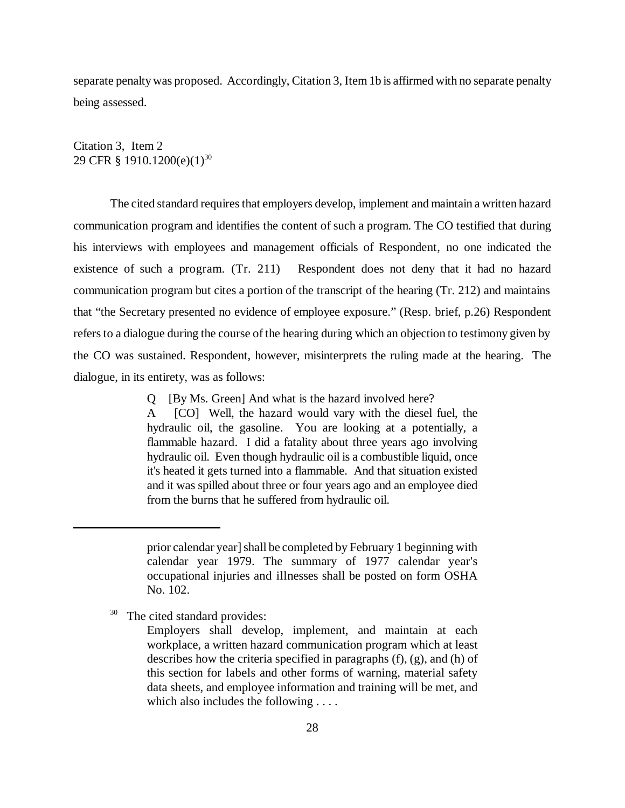separate penalty was proposed. Accordingly, Citation 3, Item 1b is affirmed with no separate penalty being assessed.

Citation 3, Item 2 29 CFR § 1910.1200(e)(1)<sup>30</sup>

The cited standard requires that employers develop, implement and maintain a written hazard communication program and identifies the content of such a program. The CO testified that during his interviews with employees and management officials of Respondent, no one indicated the existence of such a program. (Tr. 211) Respondent does not deny that it had no hazard communication program but cites a portion of the transcript of the hearing (Tr. 212) and maintains that "the Secretary presented no evidence of employee exposure." (Resp. brief, p.26) Respondent refers to a dialogue during the course of the hearing during which an objection to testimony given by the CO was sustained. Respondent, however, misinterprets the ruling made at the hearing. The dialogue, in its entirety, was as follows:

> Q [By Ms. Green] And what is the hazard involved here? A [CO] Well, the hazard would vary with the diesel fuel, the hydraulic oil, the gasoline. You are looking at a potentially, a flammable hazard. I did a fatality about three years ago involving hydraulic oil. Even though hydraulic oil is a combustible liquid, once it's heated it gets turned into a flammable. And that situation existed and it was spilled about three or four years ago and an employee died

from the burns that he suffered from hydraulic oil.

<sup>30</sup> The cited standard provides:

prior calendar year] shall be completed by February 1 beginning with calendar year 1979. The summary of 1977 calendar year's occupational injuries and illnesses shall be posted on form OSHA No. 102.

Employers shall develop, implement, and maintain at each workplace, a written hazard communication program which at least describes how the criteria specified in paragraphs (f), (g), and (h) of this section for labels and other forms of warning, material safety data sheets, and employee information and training will be met, and which also includes the following . . . .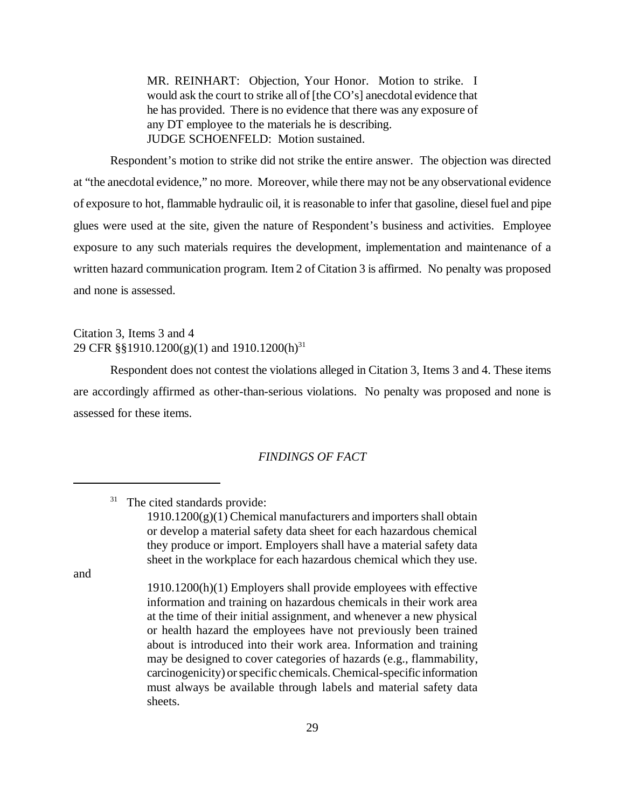MR. REINHART: Objection, Your Honor. Motion to strike. I would ask the court to strike all of [the CO's] anecdotal evidence that he has provided. There is no evidence that there was any exposure of any DT employee to the materials he is describing. JUDGE SCHOENFELD: Motion sustained.

Respondent's motion to strike did not strike the entire answer. The objection was directed at "the anecdotal evidence," no more. Moreover, while there may not be any observational evidence of exposure to hot, flammable hydraulic oil, it is reasonable to infer that gasoline, diesel fuel and pipe glues were used at the site, given the nature of Respondent's business and activities. Employee exposure to any such materials requires the development, implementation and maintenance of a written hazard communication program. Item 2 of Citation 3 is affirmed. No penalty was proposed and none is assessed.

## Citation 3, Items 3 and 4 29 CFR §§1910.1200(g)(1) and 1910.1200(h)<sup>31</sup>

Respondent does not contest the violations alleged in Citation 3, Items 3 and 4. These items are accordingly affirmed as other-than-serious violations. No penalty was proposed and none is assessed for these items.

### *FINDINGS OF FACT*

<sup>31</sup> The cited standards provide:

 $1910.1200(g)(1)$  Chemical manufacturers and importers shall obtain or develop a material safety data sheet for each hazardous chemical they produce or import. Employers shall have a material safety data sheet in the workplace for each hazardous chemical which they use.

and

<sup>1910.1200(</sup>h)(1) Employers shall provide employees with effective information and training on hazardous chemicals in their work area at the time of their initial assignment, and whenever a new physical or health hazard the employees have not previously been trained about is introduced into their work area. Information and training may be designed to cover categories of hazards (e.g., flammability, carcinogenicity) or specific chemicals. Chemical-specific information must always be available through labels and material safety data sheets.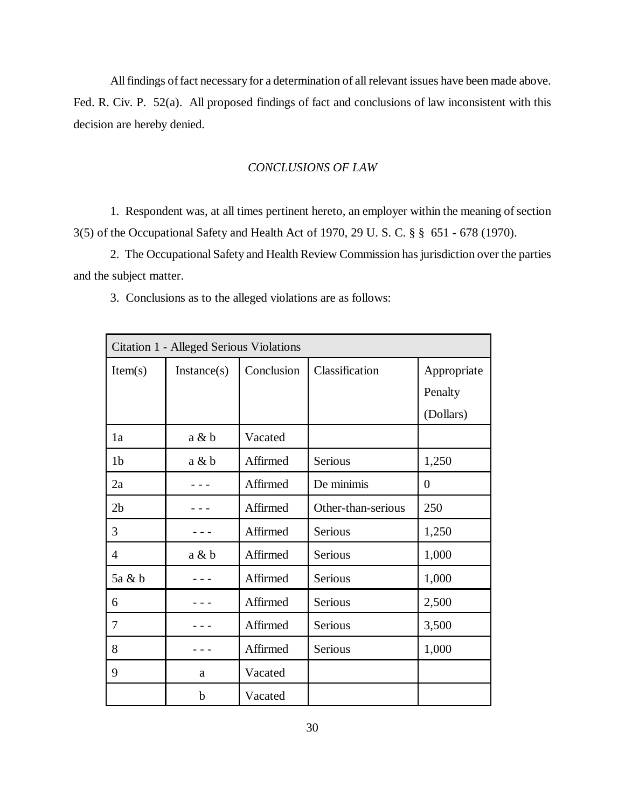All findings of fact necessary for a determination of all relevant issues have been made above. Fed. R. Civ. P. 52(a). All proposed findings of fact and conclusions of law inconsistent with this decision are hereby denied.

#### *CONCLUSIONS OF LAW*

1. Respondent was, at all times pertinent hereto, an employer within the meaning of section 3(5) of the Occupational Safety and Health Act of 1970, 29 U. S. C. § § 651 - 678 (1970).

2. The Occupational Safety and Health Review Commission has jurisdiction over the parties and the subject matter.

3. Conclusions as to the alleged violations are as follows:

| Citation 1 - Alleged Serious Violations |             |            |                    |                  |  |  |
|-----------------------------------------|-------------|------------|--------------------|------------------|--|--|
| Item(s)                                 | Instance(s) | Conclusion | Classification     | Appropriate      |  |  |
|                                         |             |            |                    | Penalty          |  |  |
|                                         |             |            |                    | (Dollars)        |  |  |
| 1a                                      | a & b       | Vacated    |                    |                  |  |  |
| 1 <sub>b</sub>                          | $a \& b$    | Affirmed   | Serious            | 1,250            |  |  |
| 2a                                      |             | Affirmed   | De minimis         | $\boldsymbol{0}$ |  |  |
| 2 <sub>b</sub>                          |             | Affirmed   | Other-than-serious | 250              |  |  |
| 3                                       |             | Affirmed   | <b>Serious</b>     | 1,250            |  |  |
| 4                                       | a & b       | Affirmed   | Serious            | 1,000            |  |  |
| 5a & b                                  |             | Affirmed   | Serious            | 1,000            |  |  |
| 6                                       |             | Affirmed   | Serious            | 2,500            |  |  |
| 7                                       |             | Affirmed   | Serious            | 3,500            |  |  |
| 8                                       |             | Affirmed   | Serious            | 1,000            |  |  |
| 9                                       | a           | Vacated    |                    |                  |  |  |
|                                         | b           | Vacated    |                    |                  |  |  |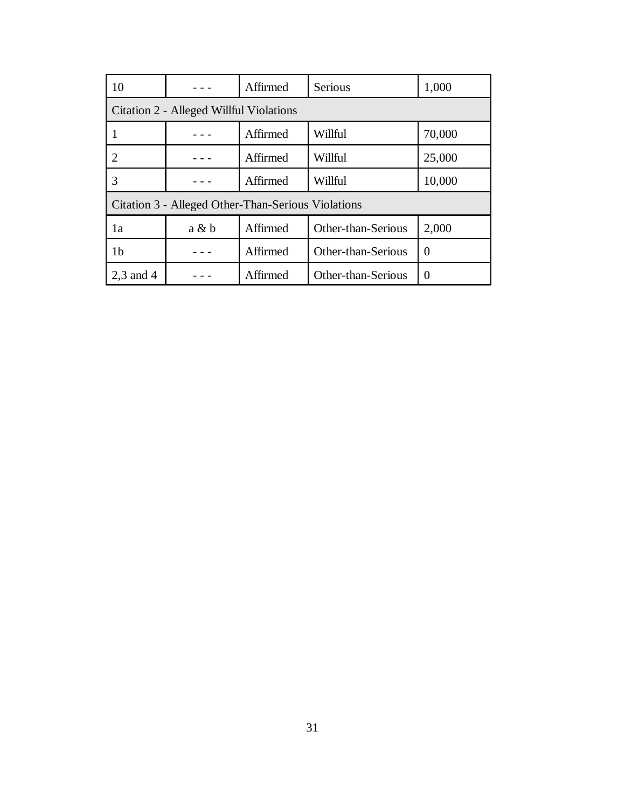| 10                                                 |       | Affirmed | Serious            | 1,000  |  |  |
|----------------------------------------------------|-------|----------|--------------------|--------|--|--|
| Citation 2 - Alleged Willful Violations            |       |          |                    |        |  |  |
|                                                    |       | Affirmed | Willful            | 70,000 |  |  |
|                                                    |       | Affirmed | Willful            | 25,000 |  |  |
| 3                                                  |       | Affirmed | Willful            | 10,000 |  |  |
| Citation 3 - Alleged Other-Than-Serious Violations |       |          |                    |        |  |  |
| 1a                                                 | a & b | Affirmed | Other-than-Serious | 2,000  |  |  |
| 1 <sub>b</sub>                                     |       | Affirmed | Other-than-Serious | 0      |  |  |
| $2,3$ and 4                                        |       | Affirmed | Other-than-Serious | 0      |  |  |